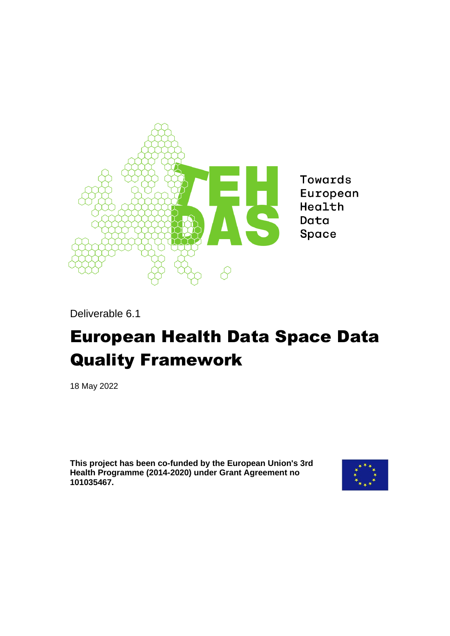

**Towards** European Health Data Space

Deliverable 6.1

# European Health Data Space Data Quality Framework

18 May 2022

**This project has been co-funded by the European Union's 3rd Health Programme (2014-2020) under Grant Agreement no 101035467.**

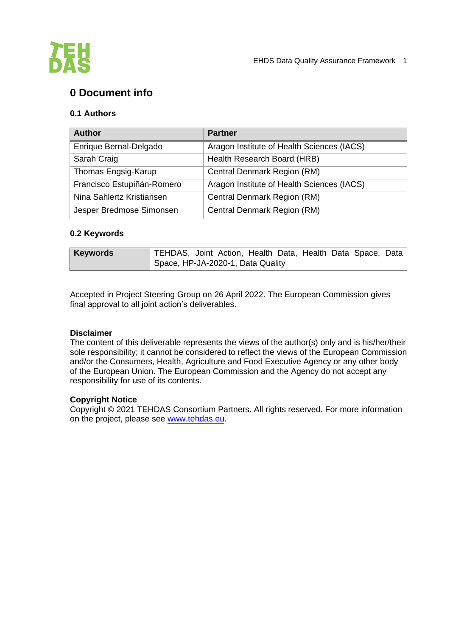

# **0 Document info**

#### **0.1 Authors**

| <b>Author</b>              | <b>Partner</b>                             |
|----------------------------|--------------------------------------------|
| Enrique Bernal-Delgado     | Aragon Institute of Health Sciences (IACS) |
| Sarah Craig                | Health Research Board (HRB)                |
| Thomas Engsig-Karup        | Central Denmark Region (RM)                |
| Francisco Estupiñán-Romero | Aragon Institute of Health Sciences (IACS) |
| Nina Sahlertz Kristiansen  | Central Denmark Region (RM)                |
| Jesper Bredmose Simonsen   | Central Denmark Region (RM)                |

#### **0.2 Keywords**

| <b>Keywords</b> | TEHDAS, Joint Action, Health Data, Health Data Space, Data |  |  |  |  |
|-----------------|------------------------------------------------------------|--|--|--|--|
|                 | Space, HP-JA-2020-1, Data Quality                          |  |  |  |  |

Accepted in Project Steering Group on 26 April 2022. The European Commission gives final approval to all joint action's deliverables.

#### **Disclaimer**

The content of this deliverable represents the views of the author(s) only and is his/her/their sole responsibility; it cannot be considered to reflect the views of the European Commission and/or the Consumers, Health, Agriculture and Food Executive Agency or any other body of the European Union. The European Commission and the Agency do not accept any responsibility for use of its contents.

#### **Copyright Notice**

Copyright © 2021 TEHDAS Consortium Partners. All rights reserved. For more information on the project, please see [www.tehdas.eu.](http://www.tehdas.eu/)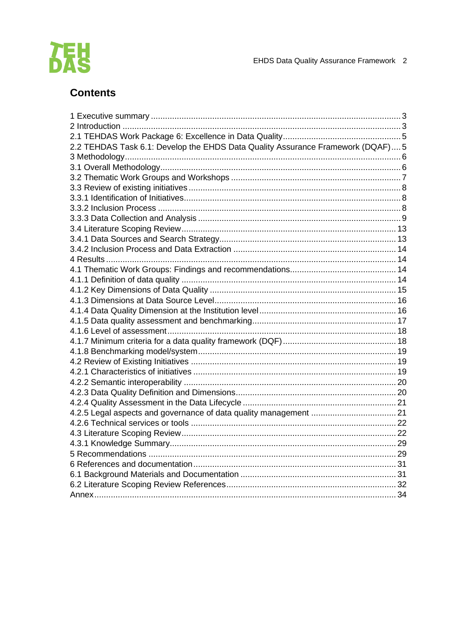

# **Contents**

| 2.2 TEHDAS Task 6.1: Develop the EHDS Data Quality Assurance Framework (DQAF) 5 |  |
|---------------------------------------------------------------------------------|--|
|                                                                                 |  |
|                                                                                 |  |
|                                                                                 |  |
|                                                                                 |  |
|                                                                                 |  |
|                                                                                 |  |
|                                                                                 |  |
|                                                                                 |  |
|                                                                                 |  |
|                                                                                 |  |
|                                                                                 |  |
|                                                                                 |  |
|                                                                                 |  |
|                                                                                 |  |
|                                                                                 |  |
|                                                                                 |  |
|                                                                                 |  |
|                                                                                 |  |
|                                                                                 |  |
|                                                                                 |  |
|                                                                                 |  |
|                                                                                 |  |
|                                                                                 |  |
|                                                                                 |  |
|                                                                                 |  |
|                                                                                 |  |
|                                                                                 |  |
|                                                                                 |  |
|                                                                                 |  |
|                                                                                 |  |
|                                                                                 |  |
|                                                                                 |  |
|                                                                                 |  |
|                                                                                 |  |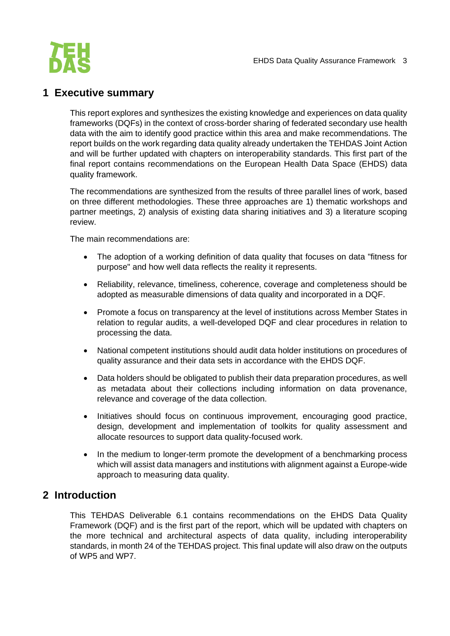

# <span id="page-3-0"></span>**1 Executive summary**

This report explores and synthesizes the existing knowledge and experiences on data quality frameworks (DQFs) in the context of cross-border sharing of federated secondary use health data with the aim to identify good practice within this area and make recommendations. The report builds on the work regarding data quality already undertaken the TEHDAS Joint Action and will be further updated with chapters on interoperability standards. This first part of the final report contains recommendations on the European Health Data Space (EHDS) data quality framework.

The recommendations are synthesized from the results of three parallel lines of work, based on three different methodologies. These three approaches are 1) thematic workshops and partner meetings, 2) analysis of existing data sharing initiatives and 3) a literature scoping review.

The main recommendations are:

- The adoption of a working definition of data quality that focuses on data "fitness for purpose" and how well data reflects the reality it represents.
- Reliability, relevance, timeliness, coherence, coverage and completeness should be adopted as measurable dimensions of data quality and incorporated in a DQF.
- Promote a focus on transparency at the level of institutions across Member States in relation to regular audits, a well-developed DQF and clear procedures in relation to processing the data.
- National competent institutions should audit data holder institutions on procedures of quality assurance and their data sets in accordance with the EHDS DQF.
- Data holders should be obligated to publish their data preparation procedures, as well as metadata about their collections including information on data provenance, relevance and coverage of the data collection.
- Initiatives should focus on continuous improvement, encouraging good practice, design, development and implementation of toolkits for quality assessment and allocate resources to support data quality-focused work.
- In the medium to longer-term promote the development of a benchmarking process which will assist data managers and institutions with alignment against a Europe-wide approach to measuring data quality.

## <span id="page-3-1"></span>**2 Introduction**

This TEHDAS Deliverable 6.1 contains recommendations on the EHDS Data Quality Framework (DQF) and is the first part of the report, which will be updated with chapters on the more technical and architectural aspects of data quality, including interoperability standards, in month 24 of the TEHDAS project. This final update will also draw on the outputs of WP5 and WP7.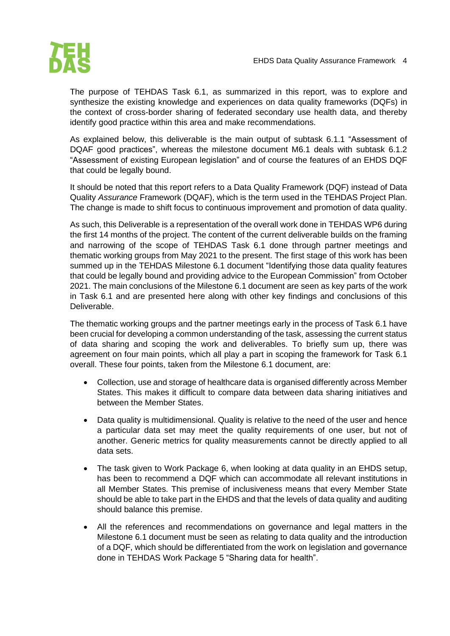

The purpose of TEHDAS Task 6.1, as summarized in this report, was to explore and synthesize the existing knowledge and experiences on data quality frameworks (DQFs) in the context of cross-border sharing of federated secondary use health data, and thereby identify good practice within this area and make recommendations.

As explained below, this deliverable is the main output of subtask 6.1.1 "Assessment of DQAF good practices", whereas the milestone document M6.1 deals with subtask 6.1.2 "Assessment of existing European legislation" and of course the features of an EHDS DQF that could be legally bound.

It should be noted that this report refers to a Data Quality Framework (DQF) instead of Data Quality *Assurance* Framework (DQAF), which is the term used in the TEHDAS Project Plan. The change is made to shift focus to continuous improvement and promotion of data quality.

As such, this Deliverable is a representation of the overall work done in TEHDAS WP6 during the first 14 months of the project. The content of the current deliverable builds on the framing and narrowing of the scope of TEHDAS Task 6.1 done through partner meetings and thematic working groups from May 2021 to the present. The first stage of this work has been summed up in the TEHDAS Milestone 6.1 document "Identifying those data quality features that could be legally bound and providing advice to the European Commission" from October 2021. The main conclusions of the Milestone 6.1 document are seen as key parts of the work in Task 6.1 and are presented here along with other key findings and conclusions of this Deliverable.

The thematic working groups and the partner meetings early in the process of Task 6.1 have been crucial for developing a common understanding of the task, assessing the current status of data sharing and scoping the work and deliverables. To briefly sum up, there was agreement on four main points, which all play a part in scoping the framework for Task 6.1 overall. These four points, taken from the Milestone 6.1 document, are:

- Collection, use and storage of healthcare data is organised differently across Member States. This makes it difficult to compare data between data sharing initiatives and between the Member States.
- Data quality is multidimensional. Quality is relative to the need of the user and hence a particular data set may meet the quality requirements of one user, but not of another. Generic metrics for quality measurements cannot be directly applied to all data sets.
- The task given to Work Package 6, when looking at data quality in an EHDS setup, has been to recommend a DQF which can accommodate all relevant institutions in all Member States. This premise of inclusiveness means that every Member State should be able to take part in the EHDS and that the levels of data quality and auditing should balance this premise.
- All the references and recommendations on governance and legal matters in the Milestone 6.1 document must be seen as relating to data quality and the introduction of a DQF, which should be differentiated from the work on legislation and governance done in TEHDAS Work Package 5 "Sharing data for health".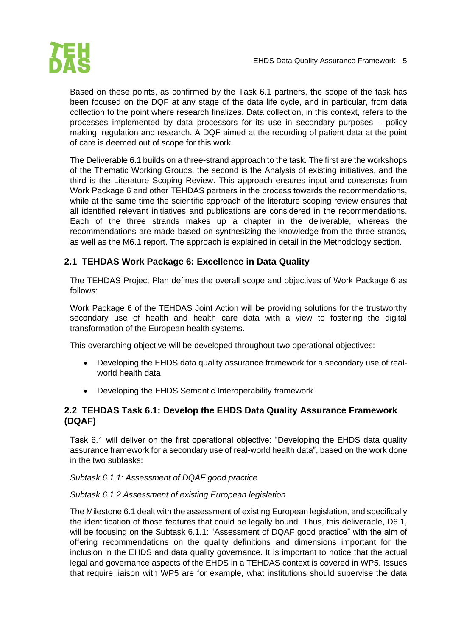

Based on these points, as confirmed by the Task 6.1 partners, the scope of the task has been focused on the DQF at any stage of the data life cycle, and in particular, from data collection to the point where research finalizes. Data collection, in this context, refers to the processes implemented by data processors for its use in secondary purposes – policy making, regulation and research. A DQF aimed at the recording of patient data at the point of care is deemed out of scope for this work.

The Deliverable 6.1 builds on a three-strand approach to the task. The first are the workshops of the Thematic Working Groups, the second is the Analysis of existing initiatives, and the third is the Literature Scoping Review. This approach ensures input and consensus from Work Package 6 and other TEHDAS partners in the process towards the recommendations, while at the same time the scientific approach of the literature scoping review ensures that all identified relevant initiatives and publications are considered in the recommendations. Each of the three strands makes up a chapter in the deliverable, whereas the recommendations are made based on synthesizing the knowledge from the three strands, as well as the M6.1 report. The approach is explained in detail in the Methodology section.

#### <span id="page-5-0"></span>**2.1 TEHDAS Work Package 6: Excellence in Data Quality**

The TEHDAS Project Plan defines the overall scope and objectives of Work Package 6 as follows:

Work Package 6 of the TEHDAS Joint Action will be providing solutions for the trustworthy secondary use of health and health care data with a view to fostering the digital transformation of the European health systems.

This overarching objective will be developed throughout two operational objectives:

- Developing the EHDS data quality assurance framework for a secondary use of realworld health data
- Developing the EHDS Semantic Interoperability framework

#### <span id="page-5-1"></span>**2.2 TEHDAS Task 6.1: Develop the EHDS Data Quality Assurance Framework (DQAF)**

Task 6.1 will deliver on the first operational objective: "Developing the EHDS data quality assurance framework for a secondary use of real-world health data", based on the work done in the two subtasks:

*Subtask 6.1.1: Assessment of DQAF good practice*

#### *Subtask 6.1.2 Assessment of existing European legislation*

The Milestone 6.1 dealt with the assessment of existing European legislation, and specifically the identification of those features that could be legally bound. Thus, this deliverable, D6.1, will be focusing on the Subtask 6.1.1: "Assessment of DQAF good practice" with the aim of offering recommendations on the quality definitions and dimensions important for the inclusion in the EHDS and data quality governance. It is important to notice that the actual legal and governance aspects of the EHDS in a TEHDAS context is covered in WP5. Issues that require liaison with WP5 are for example, what institutions should supervise the data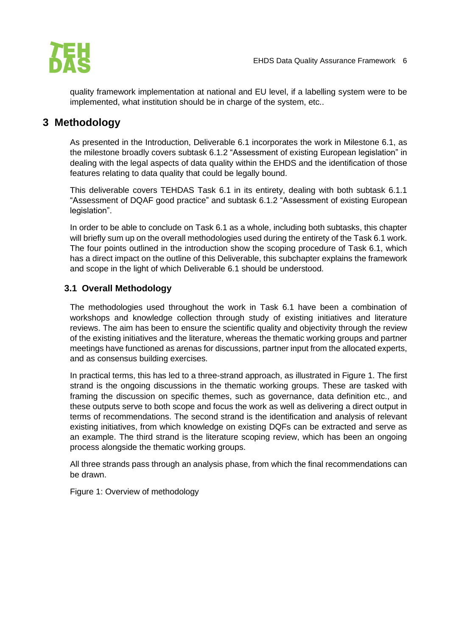

quality framework implementation at national and EU level, if a labelling system were to be implemented, what institution should be in charge of the system, etc..

# <span id="page-6-0"></span>**3 Methodology**

As presented in the Introduction, Deliverable 6.1 incorporates the work in Milestone 6.1, as the milestone broadly covers subtask 6.1.2 "Assessment of existing European legislation" in dealing with the legal aspects of data quality within the EHDS and the identification of those features relating to data quality that could be legally bound.

This deliverable covers TEHDAS Task 6.1 in its entirety, dealing with both subtask 6.1.1 "Assessment of DQAF good practice" and subtask 6.1.2 "Assessment of existing European legislation".

In order to be able to conclude on Task 6.1 as a whole, including both subtasks, this chapter will briefly sum up on the overall methodologies used during the entirety of the Task 6.1 work. The four points outlined in the introduction show the scoping procedure of Task 6.1, which has a direct impact on the outline of this Deliverable, this subchapter explains the framework and scope in the light of which Deliverable 6.1 should be understood.

#### <span id="page-6-1"></span>**3.1 Overall Methodology**

The methodologies used throughout the work in Task 6.1 have been a combination of workshops and knowledge collection through study of existing initiatives and literature reviews. The aim has been to ensure the scientific quality and objectivity through the review of the existing initiatives and the literature, whereas the thematic working groups and partner meetings have functioned as arenas for discussions, partner input from the allocated experts, and as consensus building exercises.

In practical terms, this has led to a three-strand approach, as illustrated in Figure 1. The first strand is the ongoing discussions in the thematic working groups. These are tasked with framing the discussion on specific themes, such as governance, data definition etc., and these outputs serve to both scope and focus the work as well as delivering a direct output in terms of recommendations. The second strand is the identification and analysis of relevant existing initiatives, from which knowledge on existing DQFs can be extracted and serve as an example. The third strand is the literature scoping review, which has been an ongoing process alongside the thematic working groups.

All three strands pass through an analysis phase, from which the final recommendations can be drawn.

Figure 1: Overview of methodology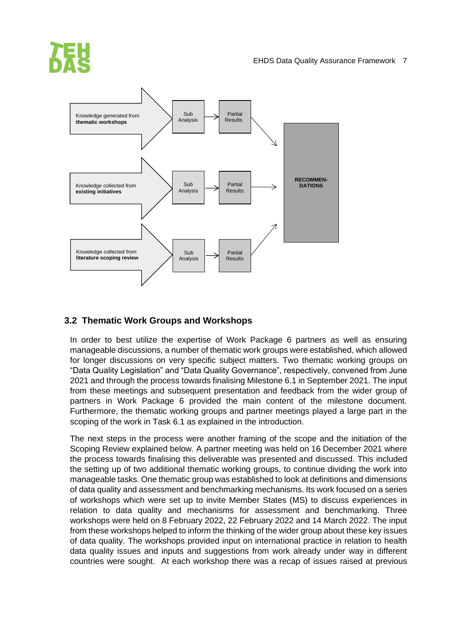

## <span id="page-7-0"></span>**3.2 Thematic Work Groups and Workshops**

In order to best utilize the expertise of Work Package 6 partners as well as ensuring manageable discussions, a number of thematic work groups were established, which allowed for longer discussions on very specific subject matters. Two thematic working groups on "Data Quality Legislation" and "Data Quality Governance", respectively, convened from June 2021 and through the process towards finalising Milestone 6.1 in September 2021. The input from these meetings and subsequent presentation and feedback from the wider group of partners in Work Package 6 provided the main content of the milestone document. Furthermore, the thematic working groups and partner meetings played a large part in the scoping of the work in Task 6.1 as explained in the introduction.

The next steps in the process were another framing of the scope and the initiation of the Scoping Review explained below. A partner meeting was held on 16 December 2021 where the process towards finalising this deliverable was presented and discussed. This included the setting up of two additional thematic working groups, to continue dividing the work into manageable tasks. One thematic group was established to look at definitions and dimensions of data quality and assessment and benchmarking mechanisms. Its work focused on a series of workshops which were set up to invite Member States (MS) to discuss experiences in relation to data quality and mechanisms for assessment and benchmarking. Three workshops were held on 8 February 2022, 22 February 2022 and 14 March 2022. The input from these workshops helped to inform the thinking of the wider group about these key issues of data quality. The workshops provided input on international practice in relation to health data quality issues and inputs and suggestions from work already under way in different countries were sought. At each workshop there was a recap of issues raised at previous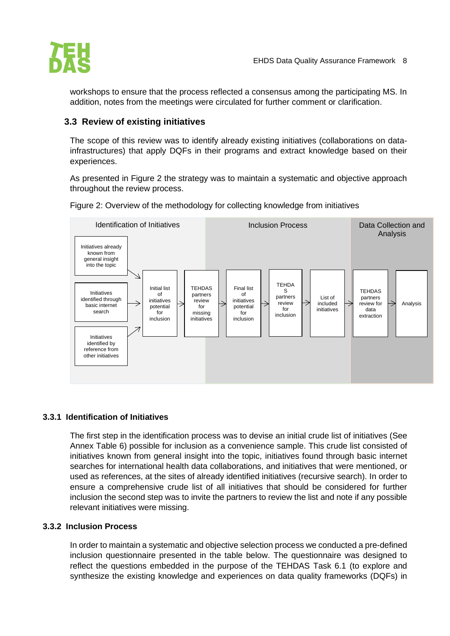

workshops to ensure that the process reflected a consensus among the participating MS. In addition, notes from the meetings were circulated for further comment or clarification.

#### <span id="page-8-0"></span>**3.3 Review of existing initiatives**

The scope of this review was to identify already existing initiatives (collaborations on datainfrastructures) that apply DQFs in their programs and extract knowledge based on their experiences.

As presented in Figure 2 the strategy was to maintain a systematic and objective approach throughout the review process.

Figure 2: Overview of the methodology for collecting knowledge from initiatives



#### <span id="page-8-1"></span>**3.3.1 Identification of Initiatives**

The first step in the identification process was to devise an initial crude list of initiatives (See Annex Table 6) possible for inclusion as a convenience sample. This crude list consisted of initiatives known from general insight into the topic, initiatives found through basic internet searches for international health data collaborations, and initiatives that were mentioned, or used as references, at the sites of already identified initiatives (recursive search). In order to ensure a comprehensive crude list of all initiatives that should be considered for further inclusion the second step was to invite the partners to review the list and note if any possible relevant initiatives were missing.

#### <span id="page-8-2"></span>**3.3.2 Inclusion Process**

In order to maintain a systematic and objective selection process we conducted a pre-defined inclusion questionnaire presented in the table below. The questionnaire was designed to reflect the questions embedded in the purpose of the TEHDAS Task 6.1 (to explore and synthesize the existing knowledge and experiences on data quality frameworks (DQFs) in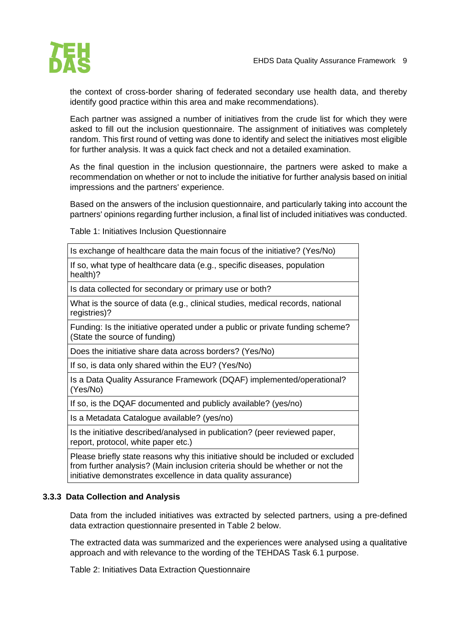

the context of cross-border sharing of federated secondary use health data, and thereby identify good practice within this area and make recommendations).

Each partner was assigned a number of initiatives from the crude list for which they were asked to fill out the inclusion questionnaire. The assignment of initiatives was completely random. This first round of vetting was done to identify and select the initiatives most eligible for further analysis. It was a quick fact check and not a detailed examination.

As the final question in the inclusion questionnaire, the partners were asked to make a recommendation on whether or not to include the initiative for further analysis based on initial impressions and the partners' experience.

Based on the answers of the inclusion questionnaire, and particularly taking into account the partners' opinions regarding further inclusion, a final list of included initiatives was conducted.

Table 1: Initiatives Inclusion Questionnaire

| Is exchange of healthcare data the main focus of the initiative? (Yes/No)                                                                                                                                                        |
|----------------------------------------------------------------------------------------------------------------------------------------------------------------------------------------------------------------------------------|
| If so, what type of healthcare data (e.g., specific diseases, population<br>health)?                                                                                                                                             |
| Is data collected for secondary or primary use or both?                                                                                                                                                                          |
| What is the source of data (e.g., clinical studies, medical records, national<br>registries)?                                                                                                                                    |
| Funding: Is the initiative operated under a public or private funding scheme?<br>(State the source of funding)                                                                                                                   |
| Does the initiative share data across borders? (Yes/No)                                                                                                                                                                          |
| If so, is data only shared within the EU? (Yes/No)                                                                                                                                                                               |
| Is a Data Quality Assurance Framework (DQAF) implemented/operational?<br>(Yes/No)                                                                                                                                                |
| If so, is the DQAF documented and publicly available? (yes/no)                                                                                                                                                                   |
| Is a Metadata Catalogue available? (yes/no)                                                                                                                                                                                      |
| Is the initiative described/analysed in publication? (peer reviewed paper,<br>report, protocol, white paper etc.)                                                                                                                |
| Please briefly state reasons why this initiative should be included or excluded<br>from further analysis? (Main inclusion criteria should be whether or not the<br>initiative demonstrates excellence in data quality assurance) |

#### <span id="page-9-0"></span>**3.3.3 Data Collection and Analysis**

Data from the included initiatives was extracted by selected partners, using a pre-defined data extraction questionnaire presented in Table 2 below.

The extracted data was summarized and the experiences were analysed using a qualitative approach and with relevance to the wording of the TEHDAS Task 6.1 purpose.

Table 2: Initiatives Data Extraction Questionnaire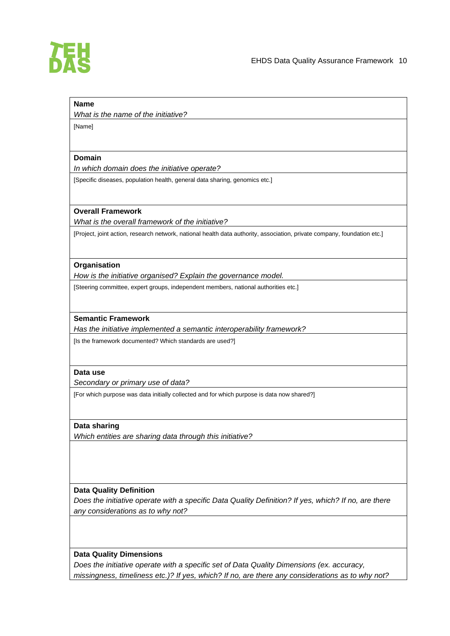

#### **Name**

*What is the name of the initiative?*

# [Name]

#### **Domain**

*In which domain does the initiative operate?*

[Specific diseases, population health, general data sharing, genomics etc.]

#### **Overall Framework**

*What is the overall framework of the initiative?*

[Project, joint action, research network, national health data authority, association, private company, foundation etc.]

#### **Organisation**

*How is the initiative organised? Explain the governance model.*

[Steering committee, expert groups, independent members, national authorities etc.]

#### **Semantic Framework**

*Has the initiative implemented a semantic interoperability framework?*

[Is the framework documented? Which standards are used?]

#### **Data use**

*Secondary or primary use of data?*

[For which purpose was data initially collected and for which purpose is data now shared?]

#### **Data sharing**

*Which entities are sharing data through this initiative?*

#### **Data Quality Definition**

*Does the initiative operate with a specific Data Quality Definition? If yes, which? If no, are there any considerations as to why not?*

#### **Data Quality Dimensions**

*Does the initiative operate with a specific set of Data Quality Dimensions (ex. accuracy, missingness, timeliness etc.)? If yes, which? If no, are there any considerations as to why not?*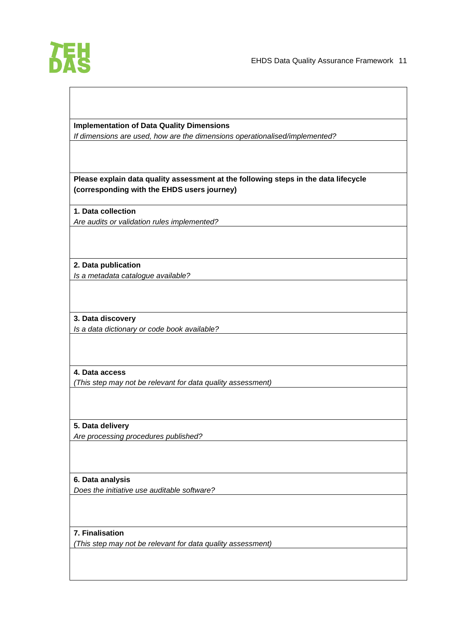

#### **Implementation of Data Quality Dimensions**

*If dimensions are used, how are the dimensions operationalised/implemented?*

#### **Please explain data quality assessment at the following steps in the data lifecycle (corresponding with the EHDS users journey)**

**1. Data collection** *Are audits or validation rules implemented?*

**2. Data publication** *Is a metadata catalogue available?*

**3. Data discovery** *Is a data dictionary or code book available?*

#### **4. Data access**

*(This step may not be relevant for data quality assessment)*

**5. Data delivery**

*Are processing procedures published?*

#### **6. Data analysis**

*Does the initiative use auditable software?*

#### **7. Finalisation**

*(This step may not be relevant for data quality assessment)*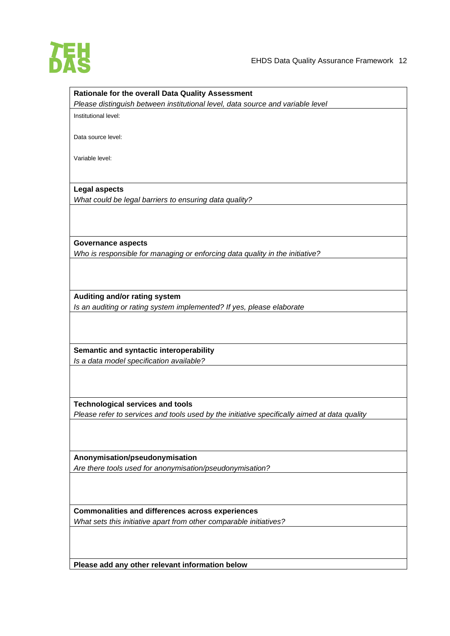

# **Rationale for the overall Data Quality Assessment** *Please distinguish between institutional level, data source and variable level* Institutional level: Data source level: Variable level: **Legal aspects** *What could be legal barriers to ensuring data quality?* **Governance aspects** *Who is responsible for managing or enforcing data quality in the initiative?* **Auditing and/or rating system** *Is an auditing or rating system implemented? If yes, please elaborate* **Semantic and syntactic interoperability** *Is a data model specification available?* **Technological services and tools** *Please refer to services and tools used by the initiative specifically aimed at data quality* **Anonymisation/pseudonymisation** *Are there tools used for anonymisation/pseudonymisation?* **Commonalities and differences across experiences** *What sets this initiative apart from other comparable initiatives?*

**Please add any other relevant information below**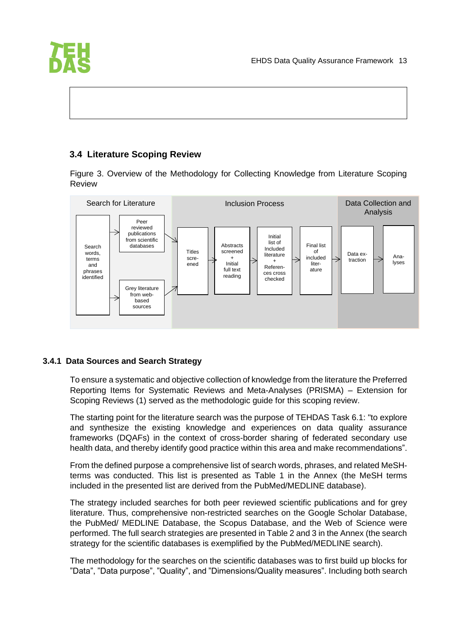

#### <span id="page-13-0"></span>**3.4 Literature Scoping Review**

Figure 3. Overview of the Methodology for Collecting Knowledge from Literature Scoping Review



#### <span id="page-13-1"></span>**3.4.1 Data Sources and Search Strategy**

To ensure a systematic and objective collection of knowledge from the literature the Preferred Reporting Items for Systematic Reviews and Meta-Analyses (PRISMA) – Extension for Scoping Reviews (1) served as the methodologic guide for this scoping review.

The starting point for the literature search was the purpose of TEHDAS Task 6.1: "to explore and synthesize the existing knowledge and experiences on data quality assurance frameworks (DQAFs) in the context of cross-border sharing of federated secondary use health data, and thereby identify good practice within this area and make recommendations".

From the defined purpose a comprehensive list of search words, phrases, and related MeSHterms was conducted. This list is presented as Table 1 in the Annex (the MeSH terms included in the presented list are derived from the PubMed/MEDLINE database).

The strategy included searches for both peer reviewed scientific publications and for grey literature. Thus, comprehensive non-restricted searches on the Google Scholar Database, the PubMed/ MEDLINE Database, the Scopus Database, and the Web of Science were performed. The full search strategies are presented in Table 2 and 3 in the Annex (the search strategy for the scientific databases is exemplified by the PubMed/MEDLINE search).

The methodology for the searches on the scientific databases was to first build up blocks for "Data", "Data purpose", "Quality", and "Dimensions/Quality measures". Including both search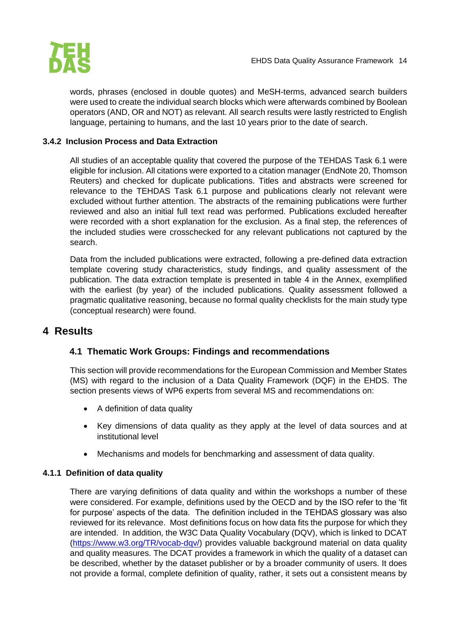

words, phrases (enclosed in double quotes) and MeSH-terms, advanced search builders were used to create the individual search blocks which were afterwards combined by Boolean operators (AND, OR and NOT) as relevant. All search results were lastly restricted to English language, pertaining to humans, and the last 10 years prior to the date of search.

#### <span id="page-14-0"></span>**3.4.2 Inclusion Process and Data Extraction**

All studies of an acceptable quality that covered the purpose of the TEHDAS Task 6.1 were eligible for inclusion. All citations were exported to a citation manager (EndNote 20, Thomson Reuters) and checked for duplicate publications. Titles and abstracts were screened for relevance to the TEHDAS Task 6.1 purpose and publications clearly not relevant were excluded without further attention. The abstracts of the remaining publications were further reviewed and also an initial full text read was performed. Publications excluded hereafter were recorded with a short explanation for the exclusion. As a final step, the references of the included studies were crosschecked for any relevant publications not captured by the search.

Data from the included publications were extracted, following a pre-defined data extraction template covering study characteristics, study findings, and quality assessment of the publication. The data extraction template is presented in table 4 in the Annex, exemplified with the earliest (by year) of the included publications. Quality assessment followed a pragmatic qualitative reasoning, because no formal quality checklists for the main study type (conceptual research) were found.

# <span id="page-14-2"></span><span id="page-14-1"></span>**4 Results**

#### **4.1 Thematic Work Groups: Findings and recommendations**

This section will provide recommendations for the European Commission and Member States (MS) with regard to the inclusion of a Data Quality Framework (DQF) in the EHDS. The section presents views of WP6 experts from several MS and recommendations on:

- A definition of data quality
- Key dimensions of data quality as they apply at the level of data sources and at institutional level
- Mechanisms and models for benchmarking and assessment of data quality.

#### <span id="page-14-3"></span>**4.1.1 Definition of data quality**

There are varying definitions of data quality and within the workshops a number of these were considered. For example, definitions used by the OECD and by the ISO refer to the 'fit for purpose' aspects of the data. The definition included in the TEHDAS glossary was also reviewed for its relevance. Most definitions focus on how data fits the purpose for which they are intended. In addition, the W3C Data Quality Vocabulary (DQV), which is linked to DCAT [\(https://www.w3.org/TR/vocab-dqv/\)](https://www.w3.org/TR/vocab-dqv/) provides valuable background material on data quality and quality measures. The DCAT provides a framework in which the quality of a dataset can be described, whether by the dataset publisher or by a broader community of users. It does not provide a formal, complete definition of quality, rather, it sets out a consistent means by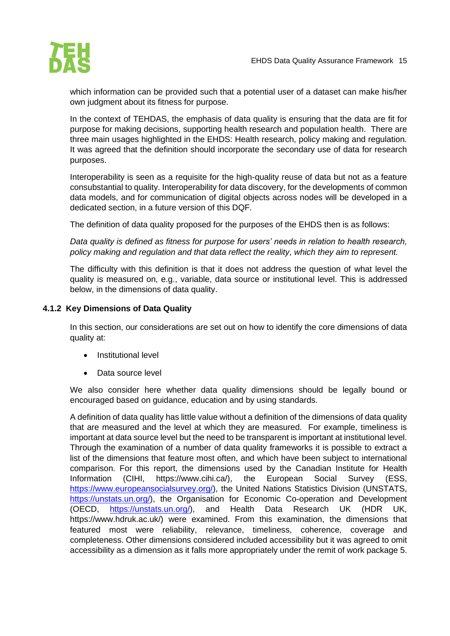

which information can be provided such that a potential user of a dataset can make his/her own judgment about its fitness for purpose.

In the context of TEHDAS, the emphasis of data quality is ensuring that the data are fit for purpose for making decisions, supporting health research and population health. There are three main usages highlighted in the EHDS: Health research, policy making and regulation. It was agreed that the definition should incorporate the secondary use of data for research purposes.

Interoperability is seen as a requisite for the high-quality reuse of data but not as a feature consubstantial to quality. Interoperability for data discovery, for the developments of common data models, and for communication of digital objects across nodes will be developed in a dedicated section, in a future version of this DQF.

The definition of data quality proposed for the purposes of the EHDS then is as follows:

*Data quality is defined as fitness for purpose for users' needs in relation to health research, policy making and regulation and that data reflect the reality, which they aim to represent.*

The difficulty with this definition is that it does not address the question of what level the quality is measured on, e.g., variable, data source or institutional level. This is addressed below, in the dimensions of data quality.

#### <span id="page-15-0"></span>**4.1.2 Key Dimensions of Data Quality**

In this section, our considerations are set out on how to identify the core dimensions of data quality at:

- Institutional level
- Data source level

We also consider here whether data quality dimensions should be legally bound or encouraged based on guidance, education and by using standards.

A definition of data quality has little value without a definition of the dimensions of data quality that are measured and the level at which they are measured. For example, timeliness is important at data source level but the need to be transparent is important at institutional level. Through the examination of a number of data quality frameworks it is possible to extract a list of the dimensions that feature most often, and which have been subject to international comparison. For this report, the dimensions used by the Canadian Institute for Health Information (CIHI, https://www.cihi.ca/), the European Social Survey (ESS, [https://www.europeansocialsurvey.org/\)](https://www.europeansocialsurvey.org/), the United Nations Statistics Division (UNSTATS, [https://unstats.un.org/\)](https://unstats.un.org/), the Organisation for Economic Co-operation and Development (OECD, [https://unstats.un.org/\)](https://unstats.un.org/), and Health Data Research UK (HDR UK, https://www.hdruk.ac.uk/) were examined. From this examination, the dimensions that featured most were reliability, relevance, timeliness, coherence, coverage and completeness. Other dimensions considered included accessibility but it was agreed to omit accessibility as a dimension as it falls more appropriately under the remit of work package 5.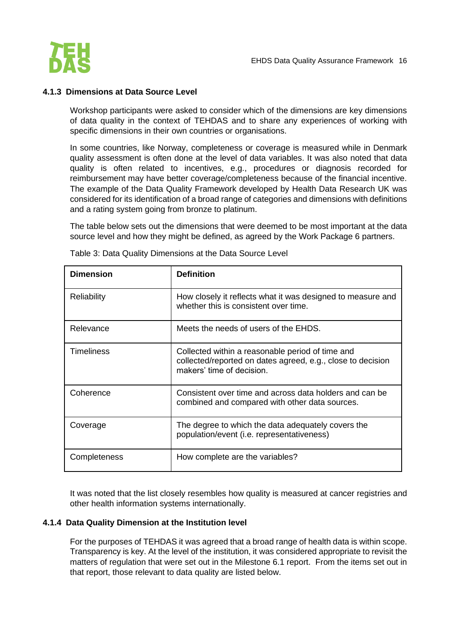

#### <span id="page-16-0"></span>**4.1.3 Dimensions at Data Source Level**

Workshop participants were asked to consider which of the dimensions are key dimensions of data quality in the context of TEHDAS and to share any experiences of working with specific dimensions in their own countries or organisations.

In some countries, like Norway, completeness or coverage is measured while in Denmark quality assessment is often done at the level of data variables. It was also noted that data quality is often related to incentives, e.g., procedures or diagnosis recorded for reimbursement may have better coverage/completeness because of the financial incentive. The example of the Data Quality Framework developed by Health Data Research UK was considered for its identification of a broad range of categories and dimensions with definitions and a rating system going from bronze to platinum.

The table below sets out the dimensions that were deemed to be most important at the data source level and how they might be defined, as agreed by the Work Package 6 partners.

| <b>Dimension</b>   | <b>Definition</b>                                                                                                                            |
|--------------------|----------------------------------------------------------------------------------------------------------------------------------------------|
| <b>Reliability</b> | How closely it reflects what it was designed to measure and<br>whether this is consistent over time.                                         |
| Relevance          | Meets the needs of users of the EHDS.                                                                                                        |
| <b>Timeliness</b>  | Collected within a reasonable period of time and<br>collected/reported on dates agreed, e.g., close to decision<br>makers' time of decision. |
| Coherence          | Consistent over time and across data holders and can be<br>combined and compared with other data sources.                                    |
| Coverage           | The degree to which the data adequately covers the<br>population/event (i.e. representativeness)                                             |
| Completeness       | How complete are the variables?                                                                                                              |

Table 3: Data Quality Dimensions at the Data Source Level

It was noted that the list closely resembles how quality is measured at cancer registries and other health information systems internationally.

#### <span id="page-16-1"></span>**4.1.4 Data Quality Dimension at the Institution level**

For the purposes of TEHDAS it was agreed that a broad range of health data is within scope. Transparency is key. At the level of the institution, it was considered appropriate to revisit the matters of regulation that were set out in the Milestone 6.1 report. From the items set out in that report, those relevant to data quality are listed below.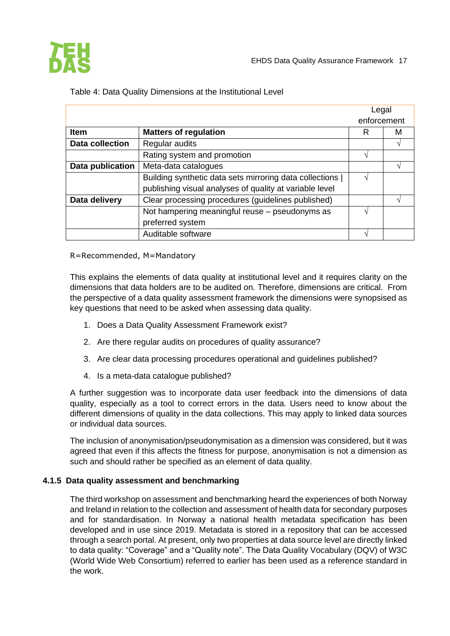

|                        |                                                         | Legal       |   |
|------------------------|---------------------------------------------------------|-------------|---|
|                        |                                                         | enforcement |   |
| <b>Item</b>            | <b>Matters of regulation</b>                            | R           | М |
| <b>Data collection</b> | Regular audits                                          |             |   |
|                        | Rating system and promotion                             |             |   |
| Data publication       | Meta-data catalogues                                    |             |   |
|                        | Building synthetic data sets mirroring data collections |             |   |
|                        | publishing visual analyses of quality at variable level |             |   |
| Data delivery          | Clear processing procedures (guidelines published)      |             |   |
|                        | Not hampering meaningful reuse - pseudonyms as          |             |   |
|                        | preferred system                                        |             |   |
|                        | Auditable software                                      |             |   |

#### Table 4: Data Quality Dimensions at the Institutional Level

R=Recommended, M=Mandatory

This explains the elements of data quality at institutional level and it requires clarity on the dimensions that data holders are to be audited on. Therefore, dimensions are critical. From the perspective of a data quality assessment framework the dimensions were synopsised as key questions that need to be asked when assessing data quality.

- 1. Does a Data Quality Assessment Framework exist?
- 2. Are there regular audits on procedures of quality assurance?
- 3. Are clear data processing procedures operational and guidelines published?
- 4. Is a meta-data catalogue published?

A further suggestion was to incorporate data user feedback into the dimensions of data quality, especially as a tool to correct errors in the data. Users need to know about the different dimensions of quality in the data collections. This may apply to linked data sources or individual data sources.

The inclusion of anonymisation/pseudonymisation as a dimension was considered, but it was agreed that even if this affects the fitness for purpose, anonymisation is not a dimension as such and should rather be specified as an element of data quality.

#### <span id="page-17-0"></span>**4.1.5 Data quality assessment and benchmarking**

The third workshop on assessment and benchmarking heard the experiences of both Norway and Ireland in relation to the collection and assessment of health data for secondary purposes and for standardisation. In Norway a national health metadata specification has been developed and in use since 2019. Metadata is stored in a repository that can be accessed through a search portal. At present, only two properties at data source level are directly linked to data quality: "Coverage" and a "Quality note". The Data Quality Vocabulary (DQV) of W3C (World Wide Web Consortium) referred to earlier has been used as a reference standard in the work.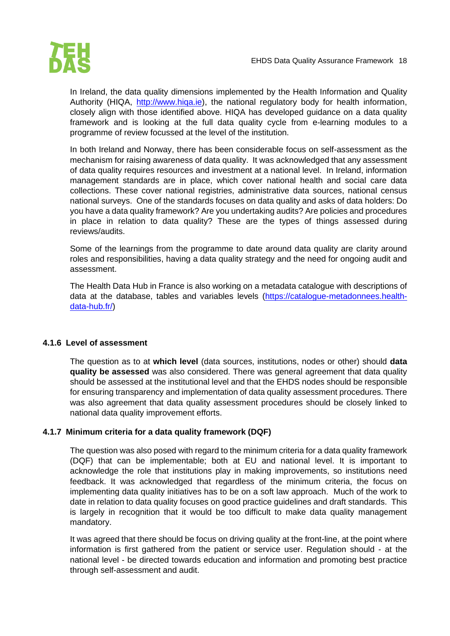

In Ireland, the data quality dimensions implemented by the Health Information and Quality Authority (HIQA, [http://www.hiqa.ie\)](http://www.hiqa.ie/), the national regulatory body for health information, closely align with those identified above. HIQA has developed guidance on a data quality framework and is looking at the full data quality cycle from e-learning modules to a programme of review focussed at the level of the institution.

In both Ireland and Norway, there has been considerable focus on self-assessment as the mechanism for raising awareness of data quality. It was acknowledged that any assessment of data quality requires resources and investment at a national level. In Ireland, information management standards are in place, which cover national health and social care data collections. These cover national registries, administrative data sources, national census national surveys. One of the standards focuses on data quality and asks of data holders: Do you have a data quality framework? Are you undertaking audits? Are policies and procedures in place in relation to data quality? These are the types of things assessed during reviews/audits.

Some of the learnings from the programme to date around data quality are clarity around roles and responsibilities, having a data quality strategy and the need for ongoing audit and assessment.

The Health Data Hub in France is also working on a metadata catalogue with descriptions of data at the database, tables and variables levels [\(https://catalogue-metadonnees.health](https://catalogue-metadonnees.health-data-hub.fr/)[data-hub.fr/\)](https://catalogue-metadonnees.health-data-hub.fr/)

#### <span id="page-18-0"></span>**4.1.6 Level of assessment**

The question as to at **which level** (data sources, institutions, nodes or other) should **data quality be assessed** was also considered. There was general agreement that data quality should be assessed at the institutional level and that the EHDS nodes should be responsible for ensuring transparency and implementation of data quality assessment procedures. There was also agreement that data quality assessment procedures should be closely linked to national data quality improvement efforts.

#### <span id="page-18-1"></span>**4.1.7 Minimum criteria for a data quality framework (DQF)**

The question was also posed with regard to the minimum criteria for a data quality framework (DQF) that can be implementable; both at EU and national level. It is important to acknowledge the role that institutions play in making improvements, so institutions need feedback. It was acknowledged that regardless of the minimum criteria, the focus on implementing data quality initiatives has to be on a soft law approach. Much of the work to date in relation to data quality focuses on good practice guidelines and draft standards. This is largely in recognition that it would be too difficult to make data quality management mandatory.

It was agreed that there should be focus on driving quality at the front-line, at the point where information is first gathered from the patient or service user. Regulation should - at the national level - be directed towards education and information and promoting best practice through self-assessment and audit.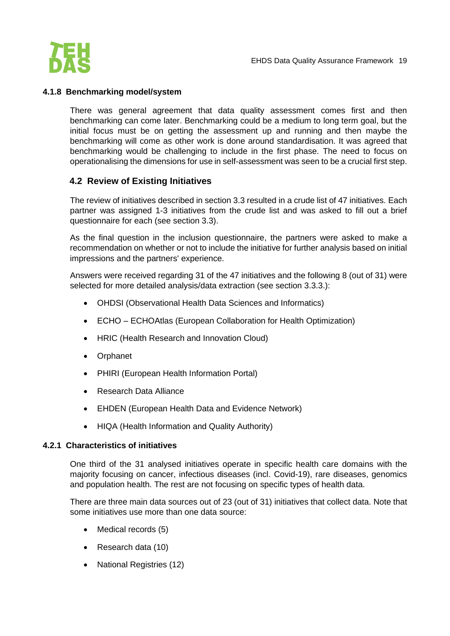

#### <span id="page-19-0"></span>**4.1.8 Benchmarking model/system**

There was general agreement that data quality assessment comes first and then benchmarking can come later. Benchmarking could be a medium to long term goal, but the initial focus must be on getting the assessment up and running and then maybe the benchmarking will come as other work is done around standardisation. It was agreed that benchmarking would be challenging to include in the first phase. The need to focus on operationalising the dimensions for use in self-assessment was seen to be a crucial first step.

#### <span id="page-19-1"></span>**4.2 Review of Existing Initiatives**

The review of initiatives described in section 3.3 resulted in a crude list of 47 initiatives. Each partner was assigned 1-3 initiatives from the crude list and was asked to fill out a brief questionnaire for each (see section 3.3).

As the final question in the inclusion questionnaire, the partners were asked to make a recommendation on whether or not to include the initiative for further analysis based on initial impressions and the partners' experience.

Answers were received regarding 31 of the 47 initiatives and the following 8 (out of 31) were selected for more detailed analysis/data extraction (see section 3.3.3.):

- OHDSI (Observational Health Data Sciences and Informatics)
- ECHO ECHOAtlas (European Collaboration for Health Optimization)
- HRIC (Health Research and Innovation Cloud)
- Orphanet
- PHIRI (European Health Information Portal)
- Research Data Alliance
- EHDEN (European Health Data and Evidence Network)
- HIQA (Health Information and Quality Authority)

#### <span id="page-19-2"></span>**4.2.1 Characteristics of initiatives**

One third of the 31 analysed initiatives operate in specific health care domains with the majority focusing on cancer, infectious diseases (incl. Covid-19), rare diseases, genomics and population health. The rest are not focusing on specific types of health data.

There are three main data sources out of 23 (out of 31) initiatives that collect data. Note that some initiatives use more than one data source:

- Medical records (5)
- Research data (10)
- National Registries (12)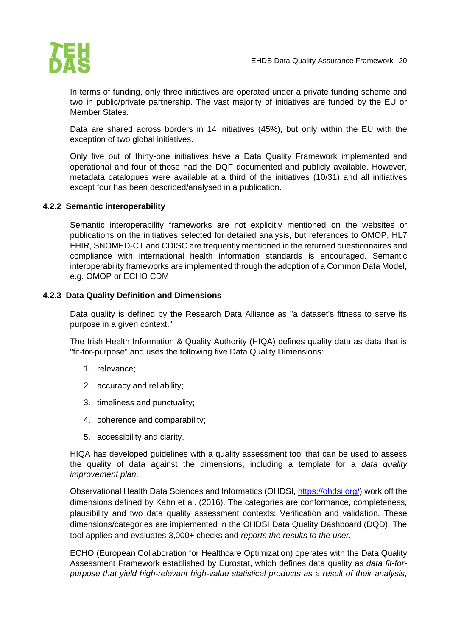

In terms of funding, only three initiatives are operated under a private funding scheme and two in public/private partnership. The vast majority of initiatives are funded by the EU or Member States.

Data are shared across borders in 14 initiatives (45%), but only within the EU with the exception of two global initiatives.

Only five out of thirty-one initiatives have a Data Quality Framework implemented and operational and four of those had the DQF documented and publicly available. However, metadata catalogues were available at a third of the initiatives (10/31) and all initiatives except four has been described/analysed in a publication.

#### <span id="page-20-0"></span>**4.2.2 Semantic interoperability**

Semantic interoperability frameworks are not explicitly mentioned on the websites or publications on the initiatives selected for detailed analysis, but references to OMOP, HL7 FHIR, SNOMED-CT and CDISC are frequently mentioned in the returned questionnaires and compliance with international health information standards is encouraged. Semantic interoperability frameworks are implemented through the adoption of a Common Data Model, e.g. OMOP or ECHO CDM.

#### <span id="page-20-1"></span>**4.2.3 Data Quality Definition and Dimensions**

Data quality is defined by the Research Data Alliance as "a dataset's fitness to serve its purpose in a given context."

The Irish Health Information & Quality Authority (HIQA) defines quality data as data that is "fit-for-purpose" and uses the following five Data Quality Dimensions:

- 1. relevance;
- 2. accuracy and reliability;
- 3. timeliness and punctuality;
- 4. coherence and comparability;
- 5. accessibility and clarity.

HIQA has developed guidelines with a quality assessment tool that can be used to assess the quality of data against the dimensions, including a template for a *data quality improvement plan*.

Observational Health Data Sciences and Informatics (OHDSI, [https://ohdsi.org/\)](https://ohdsi.org/) work off the dimensions defined by Kahn et al. (2016). The categories are conformance, completeness, plausibility and two data quality assessment contexts: Verification and validation. These dimensions/categories are implemented in the OHDSI Data Quality Dashboard (DQD). The tool applies and evaluates 3,000+ checks and *reports the results to the user.*

ECHO (European Collaboration for Healthcare Optimization) operates with the Data Quality Assessment Framework established by Eurostat, which defines data quality as *data fit-forpurpose that yield high-relevant high-value statistical products as a result of their analysis,*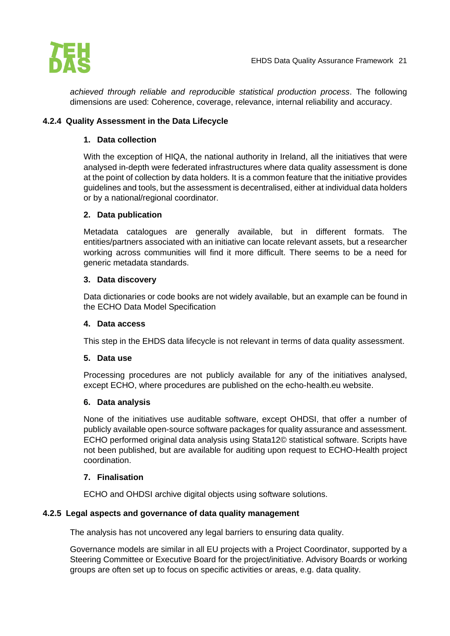

*achieved through reliable and reproducible statistical production process*. The following dimensions are used: Coherence, coverage, relevance, internal reliability and accuracy.

#### <span id="page-21-0"></span>**4.2.4 Quality Assessment in the Data Lifecycle**

#### **1. Data collection**

With the exception of HIQA, the national authority in Ireland, all the initiatives that were analysed in-depth were federated infrastructures where data quality assessment is done at the point of collection by data holders. It is a common feature that the initiative provides guidelines and tools, but the assessment is decentralised, either at individual data holders or by a national/regional coordinator.

#### **2. Data publication**

Metadata catalogues are generally available, but in different formats. The entities/partners associated with an initiative can locate relevant assets, but a researcher working across communities will find it more difficult. There seems to be a need for generic metadata standards.

#### **3. Data discovery**

Data dictionaries or code books are not widely available, but an example can be found in the ECHO Data Model Specification

#### **4. Data access**

This step in the EHDS data lifecycle is not relevant in terms of data quality assessment.

#### **5. Data use**

Processing procedures are not publicly available for any of the initiatives analysed, except ECHO, where procedures are published on the echo-health.eu website.

#### **6. Data analysis**

None of the initiatives use auditable software, except OHDSI, that offer a number of publicly available open-source software packages for quality assurance and assessment. ECHO performed original data analysis using Stata12© statistical software. Scripts have not been published, but are available for auditing upon request to ECHO-Health project coordination.

#### **7. Finalisation**

ECHO and OHDSI archive digital objects using software solutions.

#### <span id="page-21-1"></span>**4.2.5 Legal aspects and governance of data quality management**

The analysis has not uncovered any legal barriers to ensuring data quality.

Governance models are similar in all EU projects with a Project Coordinator, supported by a Steering Committee or Executive Board for the project/initiative. Advisory Boards or working groups are often set up to focus on specific activities or areas, e.g. data quality.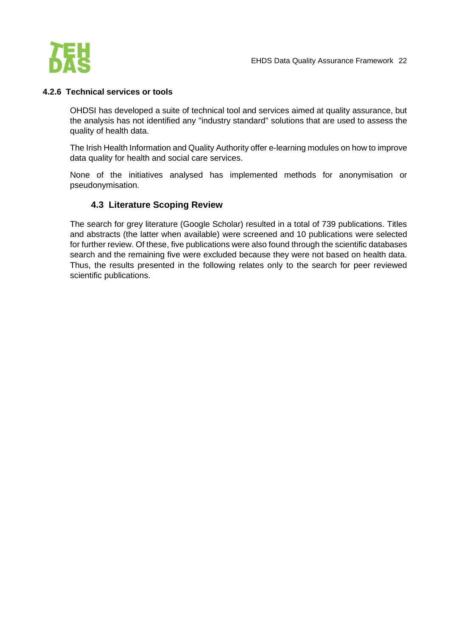

#### <span id="page-22-0"></span>**4.2.6 Technical services or tools**

OHDSI has developed a suite of technical tool and services aimed at quality assurance, but the analysis has not identified any "industry standard" solutions that are used to assess the quality of health data.

The Irish Health Information and Quality Authority offer e-learning modules on how to improve data quality for health and social care services.

None of the initiatives analysed has implemented methods for anonymisation or pseudonymisation.

#### **4.3 Literature Scoping Review**

<span id="page-22-1"></span>The search for grey literature (Google Scholar) resulted in a total of 739 publications. Titles and abstracts (the latter when available) were screened and 10 publications were selected for further review. Of these, five publications were also found through the scientific databases search and the remaining five were excluded because they were not based on health data. Thus, the results presented in the following relates only to the search for peer reviewed scientific publications.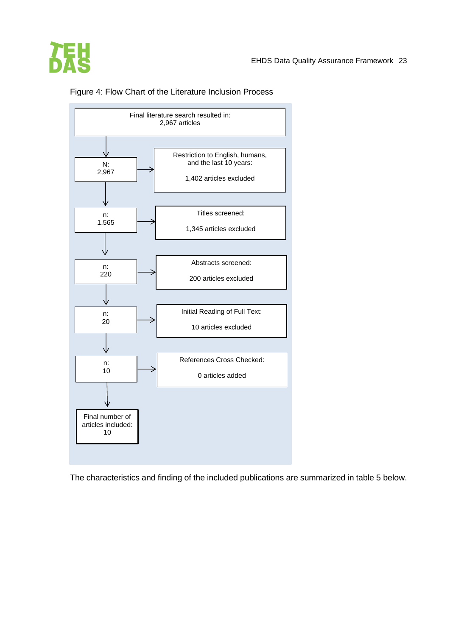



Figure 4: Flow Chart of the Literature Inclusion Process

The characteristics and finding of the included publications are summarized in table 5 below.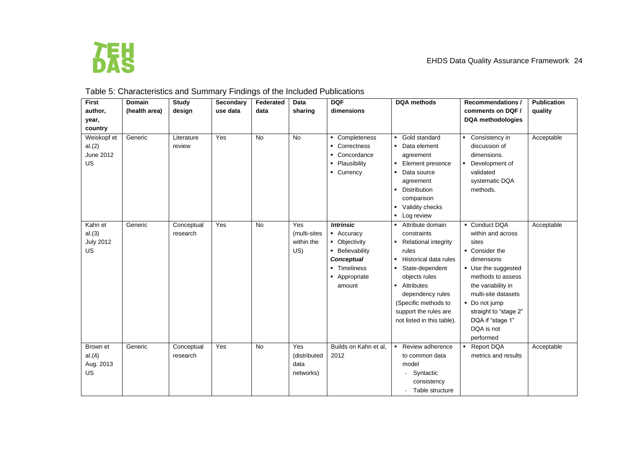

# Table 5: Characteristics and Summary Findings of the Included Publications

| <b>First</b>                                 | <b>Domain</b> | <b>Study</b>           | Secondary | Federated | Data                                     | <b>DQF</b>                                                                                                                         | <b>DQA</b> methods                                                                                                                                                                                                                                                           | <b>Recommendations /</b>                                                                                                                                                                                                                                      | <b>Publication</b> |
|----------------------------------------------|---------------|------------------------|-----------|-----------|------------------------------------------|------------------------------------------------------------------------------------------------------------------------------------|------------------------------------------------------------------------------------------------------------------------------------------------------------------------------------------------------------------------------------------------------------------------------|---------------------------------------------------------------------------------------------------------------------------------------------------------------------------------------------------------------------------------------------------------------|--------------------|
| author,                                      | (health area) | design                 | use data  | data      | sharing                                  | dimensions                                                                                                                         |                                                                                                                                                                                                                                                                              | comments on DQF /                                                                                                                                                                                                                                             | quality            |
| year,                                        |               |                        |           |           |                                          |                                                                                                                                    |                                                                                                                                                                                                                                                                              | DQA methodologies                                                                                                                                                                                                                                             |                    |
| country                                      |               |                        |           |           |                                          |                                                                                                                                    |                                                                                                                                                                                                                                                                              |                                                                                                                                                                                                                                                               |                    |
| Weiskopf et<br>al.(2)<br>June 2012<br>US     | Generic       | Literature<br>review   | Yes       | <b>No</b> | <b>No</b>                                | Completeness<br>Correctness<br>٠.<br>• Concordance<br>• Plausibility<br>• Currency                                                 | Gold standard<br>Data element<br>agreement<br>$\blacksquare$<br>Element presence<br>Data source<br>agreement<br>Distribution<br>comparison<br>• Validity checks<br>Log review<br>$\blacksquare$                                                                              | Consistency in<br>discussion of<br>dimensions.<br>Development of<br>validated<br>systematic DQA<br>methods.                                                                                                                                                   | Acceptable         |
| Kahn et<br>al.(3)<br><b>July 2012</b><br>US. | Generic       | Conceptual<br>research | Yes       | <b>No</b> | Yes<br>(multi-sites<br>within the<br>US) | <b>Intrinsic</b><br>• Accuracy<br>• Objectivity<br>• Believability<br><b>Conceptual</b><br>• Timeliness<br>• Appropriate<br>amount | Attribute domain<br>constraints<br><b>Relational integrity</b><br>٠<br>rules<br>Historical data rules<br>$\blacksquare$<br>State-dependent<br>objects rules<br>Attributes<br>dependency rules<br>(Specific methods to<br>support the rules are<br>not listed in this table). | • Conduct DQA<br>within and across<br>sites<br>• Consider the<br>dimensions<br>• Use the suggested<br>methods to assess<br>the variability in<br>multi-site datasets<br>• Do not jump<br>straight to "stage 2"<br>DQA if "stage 1"<br>DQA is not<br>performed | Acceptable         |
| Brown et<br>al.(4)<br>Aug. 2013<br>US        | Generic       | Conceptual<br>research | Yes       | <b>No</b> | Yes<br>(distributed<br>data<br>networks) | Builds on Kahn et al.<br>2012                                                                                                      | Review adherence<br>$\blacksquare$<br>to common data<br>model<br>- Syntactic<br>consistency<br>- Table structure                                                                                                                                                             | <b>Report DQA</b><br>metrics and results                                                                                                                                                                                                                      | Acceptable         |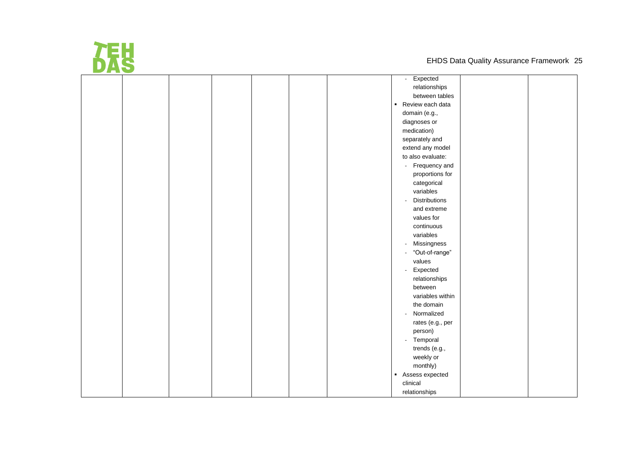

|  | Expected<br>$\sim$                         |
|--|--------------------------------------------|
|  | relationships                              |
|  | between tables                             |
|  | Review each data                           |
|  | domain (e.g.,                              |
|  | diagnoses or                               |
|  | medication)                                |
|  | separately and                             |
|  | extend any model                           |
|  | to also evaluate:                          |
|  | Frequency and<br>$\blacksquare$            |
|  | proportions for                            |
|  | categorical                                |
|  | variables                                  |
|  | Distributions<br>$\overline{\phantom{a}}$  |
|  | and extreme                                |
|  | values for                                 |
|  | continuous                                 |
|  | variables                                  |
|  | Missingness<br>$\overline{\phantom{a}}$    |
|  | "Out-of-range"<br>$\overline{\phantom{a}}$ |
|  | values                                     |
|  | Expected<br>$\blacksquare$                 |
|  | relationships                              |
|  | between                                    |
|  | variables within                           |
|  | the domain                                 |
|  | Normalized<br>$\overline{\phantom{a}}$     |
|  | rates (e.g., per                           |
|  | person)                                    |
|  | - Temporal                                 |
|  | trends (e.g.,                              |
|  | weekly or                                  |
|  | monthly)                                   |
|  | Assess expected                            |
|  | clinical                                   |
|  | relationships                              |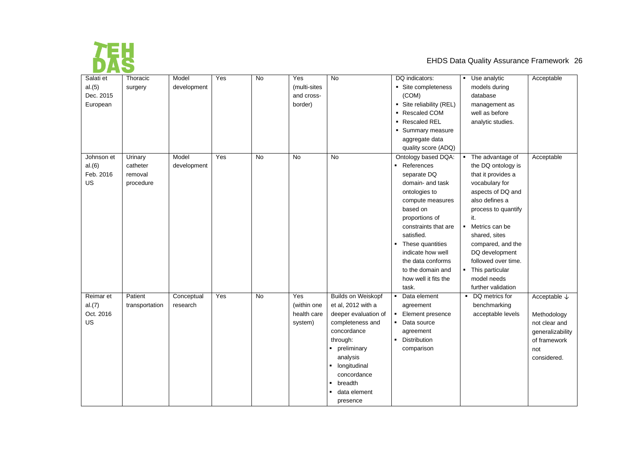

| Salati et  | Thoracic       | Model       | $\overline{Yes}$ | $\overline{N}$ | Yes          | No                             | DQ indicators:                 | Use analytic        | Acceptable              |
|------------|----------------|-------------|------------------|----------------|--------------|--------------------------------|--------------------------------|---------------------|-------------------------|
| al.(5)     | surgery        | development |                  |                | (multi-sites |                                | • Site completeness            | models during       |                         |
| Dec. 2015  |                |             |                  |                | and cross-   |                                | (COM)                          | database            |                         |
| European   |                |             |                  |                | border)      |                                | • Site reliability (REL)       | management as       |                         |
|            |                |             |                  |                |              |                                | ■ Rescaled COM                 | well as before      |                         |
|            |                |             |                  |                |              |                                | • Rescaled REL                 | analytic studies.   |                         |
|            |                |             |                  |                |              |                                | • Summary measure              |                     |                         |
|            |                |             |                  |                |              |                                | aggregate data                 |                     |                         |
|            |                |             |                  |                |              |                                | quality score (ADQ)            |                     |                         |
| Johnson et | Urinary        | Model       | Yes              | <b>No</b>      | <b>No</b>    | <b>No</b>                      | Ontology based DQA:            | The advantage of    | Acceptable              |
| al.(6)     | catheter       | development |                  |                |              |                                | - References                   | the DQ ontology is  |                         |
| Feb. 2016  | removal        |             |                  |                |              |                                | separate DQ                    | that it provides a  |                         |
| US         | procedure      |             |                  |                |              |                                | domain- and task               | vocabulary for      |                         |
|            |                |             |                  |                |              |                                | ontologies to                  | aspects of DQ and   |                         |
|            |                |             |                  |                |              |                                | compute measures               | also defines a      |                         |
|            |                |             |                  |                |              |                                | based on                       | process to quantify |                         |
|            |                |             |                  |                |              |                                | proportions of                 | it.                 |                         |
|            |                |             |                  |                |              |                                | constraints that are           | Metrics can be      |                         |
|            |                |             |                  |                |              |                                | satisfied.                     | shared, sites       |                         |
|            |                |             |                  |                |              |                                | • These quantities             | compared, and the   |                         |
|            |                |             |                  |                |              |                                | indicate how well              | DQ development      |                         |
|            |                |             |                  |                |              |                                | the data conforms              | followed over time. |                         |
|            |                |             |                  |                |              |                                | to the domain and              | This particular     |                         |
|            |                |             |                  |                |              |                                | how well it fits the           | model needs         |                         |
|            |                |             |                  |                |              |                                | task.                          | further validation  |                         |
| Reimar et  | Patient        | Conceptual  | Yes              | No             | Yes          | <b>Builds on Weiskopf</b>      | Data element<br>$\blacksquare$ | • DQ metrics for    | Acceptable $\downarrow$ |
| al.(7)     | transportation | research    |                  |                | (within one  | et al, 2012 with a             | agreement                      | benchmarking        |                         |
| Oct. 2016  |                |             |                  |                | health care  | deeper evaluation of           | Element presence<br>٠          | acceptable levels   | Methodology             |
| US         |                |             |                  |                | system)      | completeness and               | Data source<br>$\blacksquare$  |                     | not clear and           |
|            |                |             |                  |                |              | concordance                    | agreement                      |                     | generalizability        |
|            |                |             |                  |                |              | through:                       | Distribution<br>$\blacksquare$ |                     | of framework            |
|            |                |             |                  |                |              | • preliminary                  | comparison                     |                     | not                     |
|            |                |             |                  |                |              | analysis                       |                                |                     | considered.             |
|            |                |             |                  |                |              | longitudinal<br>٠              |                                |                     |                         |
|            |                |             |                  |                |              | concordance                    |                                |                     |                         |
|            |                |             |                  |                |              | breadth<br>٠                   |                                |                     |                         |
|            |                |             |                  |                |              | data element<br>$\blacksquare$ |                                |                     |                         |
|            |                |             |                  |                |              | presence                       |                                |                     |                         |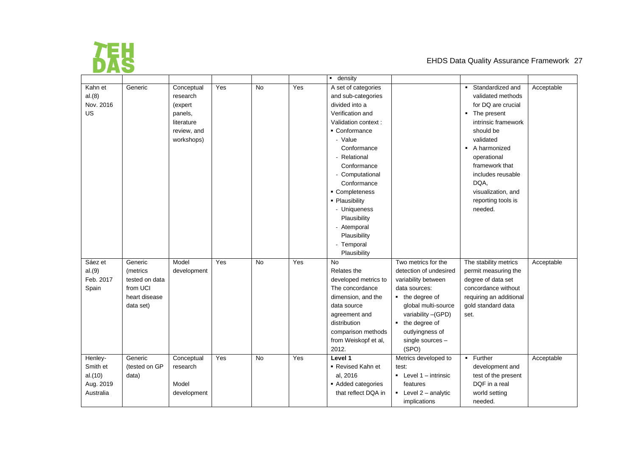

|           |                |             |     |           |     | $\blacksquare$ density |                                    |                           |            |
|-----------|----------------|-------------|-----|-----------|-----|------------------------|------------------------------------|---------------------------|------------|
| Kahn et   | Generic        | Conceptual  | Yes | <b>No</b> | Yes | A set of categories    |                                    | Standardized and          | Acceptable |
| al.(8)    |                | research    |     |           |     | and sub-categories     |                                    | validated methods         |            |
| Nov. 2016 |                | (expert     |     |           |     | divided into a         |                                    | for DQ are crucial        |            |
| US        |                | panels,     |     |           |     | Verification and       |                                    | • The present             |            |
|           |                | literature  |     |           |     | Validation context :   |                                    | intrinsic framework       |            |
|           |                | review, and |     |           |     | • Conformance          |                                    | should be                 |            |
|           |                | workshops)  |     |           |     | - Value                |                                    | validated                 |            |
|           |                |             |     |           |     | Conformance            |                                    | • A harmonized            |            |
|           |                |             |     |           |     | - Relational           |                                    | operational               |            |
|           |                |             |     |           |     | Conformance            |                                    | framework that            |            |
|           |                |             |     |           |     | - Computational        |                                    | includes reusable         |            |
|           |                |             |     |           |     | Conformance            |                                    | DQA,                      |            |
|           |                |             |     |           |     | • Completeness         |                                    | visualization, and        |            |
|           |                |             |     |           |     | - Plausibility         |                                    | reporting tools is        |            |
|           |                |             |     |           |     | - Uniqueness           |                                    | needed.                   |            |
|           |                |             |     |           |     | Plausibility           |                                    |                           |            |
|           |                |             |     |           |     | - Atemporal            |                                    |                           |            |
|           |                |             |     |           |     | Plausibility           |                                    |                           |            |
|           |                |             |     |           |     | - Temporal             |                                    |                           |            |
|           |                |             |     |           |     | Plausibility           |                                    |                           |            |
| Sáez et   | Generic        | Model       | Yes | No        | Yes | No                     | Two metrics for the                | The stability metrics     | Acceptable |
| al.(9)    | (metrics       | development |     |           |     | Relates the            | detection of undesired             | permit measuring the      |            |
| Feb. 2017 | tested on data |             |     |           |     | developed metrics to   | variability between                | degree of data set        |            |
| Spain     | from UCI       |             |     |           |     | The concordance        | data sources:                      | concordance without       |            |
|           | heart disease  |             |     |           |     | dimension, and the     | $\blacksquare$ the degree of       | requiring an additional   |            |
|           | data set)      |             |     |           |     | data source            | global multi-source                | gold standard data        |            |
|           |                |             |     |           |     | agreement and          | variability - (GPD)                | set.                      |            |
|           |                |             |     |           |     | distribution           | the degree of<br>$\blacksquare$    |                           |            |
|           |                |             |     |           |     | comparison methods     | outlyingness of                    |                           |            |
|           |                |             |     |           |     | from Weiskopf et al,   | single sources -                   |                           |            |
|           |                |             |     |           |     | 2012.                  | (SPO)                              |                           |            |
| Henley-   | Generic        | Conceptual  | Yes | <b>No</b> | Yes | Level 1                | Metrics developed to               | Further<br>$\blacksquare$ | Acceptable |
| Smith et  | (tested on GP  | research    |     |           |     | • Revised Kahn et      | test:                              | development and           |            |
| al.(10)   | data)          |             |     |           |     | al, 2016               | $\blacksquare$ Level 1 - intrinsic | test of the present       |            |
| Aug. 2019 |                | Model       |     |           |     | Added categories       | features                           | DQF in a real             |            |
| Australia |                | development |     |           |     | that reflect DQA in    | $\blacksquare$ Level 2 - analytic  | world setting             |            |
|           |                |             |     |           |     |                        | implications                       | needed.                   |            |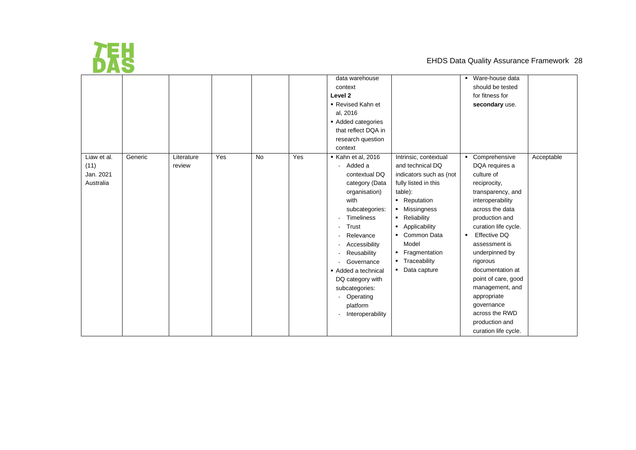

|                                               |         |                      |     |           |     | data warehouse                                                                                                                                                                                                                                                                                                                   |                                                                                                                                                                                                                                                                                                                                                                               | $\overline{\phantom{a}}$ Ware-house data                                                                                                                                                                                                                                                                                                                                                                             |            |
|-----------------------------------------------|---------|----------------------|-----|-----------|-----|----------------------------------------------------------------------------------------------------------------------------------------------------------------------------------------------------------------------------------------------------------------------------------------------------------------------------------|-------------------------------------------------------------------------------------------------------------------------------------------------------------------------------------------------------------------------------------------------------------------------------------------------------------------------------------------------------------------------------|----------------------------------------------------------------------------------------------------------------------------------------------------------------------------------------------------------------------------------------------------------------------------------------------------------------------------------------------------------------------------------------------------------------------|------------|
|                                               |         |                      |     |           |     | context                                                                                                                                                                                                                                                                                                                          |                                                                                                                                                                                                                                                                                                                                                                               | should be tested                                                                                                                                                                                                                                                                                                                                                                                                     |            |
|                                               |         |                      |     |           |     | Level <sub>2</sub>                                                                                                                                                                                                                                                                                                               |                                                                                                                                                                                                                                                                                                                                                                               | for fitness for                                                                                                                                                                                                                                                                                                                                                                                                      |            |
|                                               |         |                      |     |           |     | ■ Revised Kahn et                                                                                                                                                                                                                                                                                                                |                                                                                                                                                                                                                                                                                                                                                                               | secondary use.                                                                                                                                                                                                                                                                                                                                                                                                       |            |
|                                               |         |                      |     |           |     | al, 2016                                                                                                                                                                                                                                                                                                                         |                                                                                                                                                                                                                                                                                                                                                                               |                                                                                                                                                                                                                                                                                                                                                                                                                      |            |
|                                               |         |                      |     |           |     | Added categories                                                                                                                                                                                                                                                                                                                 |                                                                                                                                                                                                                                                                                                                                                                               |                                                                                                                                                                                                                                                                                                                                                                                                                      |            |
|                                               |         |                      |     |           |     | that reflect DQA in                                                                                                                                                                                                                                                                                                              |                                                                                                                                                                                                                                                                                                                                                                               |                                                                                                                                                                                                                                                                                                                                                                                                                      |            |
|                                               |         |                      |     |           |     | research question                                                                                                                                                                                                                                                                                                                |                                                                                                                                                                                                                                                                                                                                                                               |                                                                                                                                                                                                                                                                                                                                                                                                                      |            |
|                                               |         |                      |     |           |     | context                                                                                                                                                                                                                                                                                                                          |                                                                                                                                                                                                                                                                                                                                                                               |                                                                                                                                                                                                                                                                                                                                                                                                                      |            |
| Liaw et al.<br>(11)<br>Jan. 2021<br>Australia | Generic | Literature<br>review | Yes | <b>No</b> | Yes | $\blacktriangleright$ Kahn et al, 2016<br>Added a<br>contextual DQ<br>category (Data<br>organisation)<br>with<br>subcategories:<br><b>Timeliness</b><br>Trust<br>Relevance<br>Accessibility<br>Reusability<br>Governance<br>Added a technical<br>DQ category with<br>subcategories:<br>Operating<br>platform<br>Interoperability | Intrinsic, contextual<br>and technical DQ<br>indicators such as (not<br>fully listed in this<br>table):<br>• Reputation<br>Missingness<br>$\blacksquare$<br>Reliability<br>$\blacksquare$<br>Applicability<br>$\blacksquare$<br>Common Data<br>$\blacksquare$<br>Model<br>Fragmentation<br>$\blacksquare$<br>Traceability<br>$\blacksquare$<br>Data capture<br>$\blacksquare$ | • Comprehensive<br>DQA requires a<br>culture of<br>reciprocity,<br>transparency, and<br>interoperability<br>across the data<br>production and<br>curation life cycle.<br><b>Effective DQ</b><br>$\blacksquare$<br>assessment is<br>underpinned by<br>rigorous<br>documentation at<br>point of care, good<br>management, and<br>appropriate<br>governance<br>across the RWD<br>production and<br>curation life cycle. | Acceptable |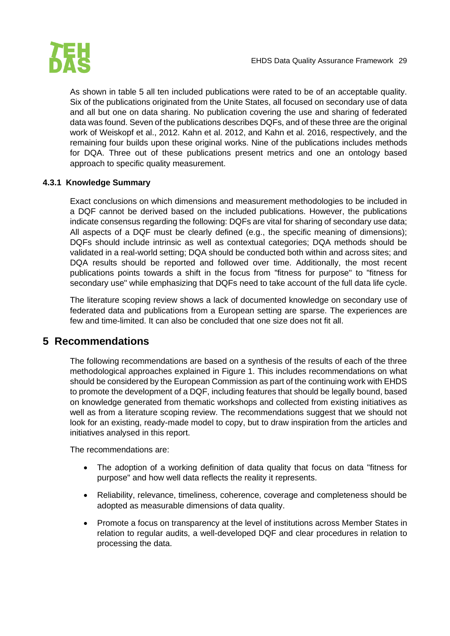

As shown in table 5 all ten included publications were rated to be of an acceptable quality. Six of the publications originated from the Unite States, all focused on secondary use of data and all but one on data sharing. No publication covering the use and sharing of federated data was found. Seven of the publications describes DQFs, and of these three are the original work of Weiskopf et al., 2012. Kahn et al. 2012, and Kahn et al. 2016, respectively, and the remaining four builds upon these original works. Nine of the publications includes methods for DQA. Three out of these publications present metrics and one an ontology based approach to specific quality measurement.

#### <span id="page-29-0"></span>**4.3.1 Knowledge Summary**

Exact conclusions on which dimensions and measurement methodologies to be included in a DQF cannot be derived based on the included publications. However, the publications indicate consensus regarding the following: DQFs are vital for sharing of secondary use data; All aspects of a DQF must be clearly defined (e.g., the specific meaning of dimensions); DQFs should include intrinsic as well as contextual categories; DQA methods should be validated in a real-world setting; DQA should be conducted both within and across sites; and DQA results should be reported and followed over time. Additionally, the most recent publications points towards a shift in the focus from "fitness for purpose" to "fitness for secondary use" while emphasizing that DQFs need to take account of the full data life cycle.

The literature scoping review shows a lack of documented knowledge on secondary use of federated data and publications from a European setting are sparse. The experiences are few and time-limited. It can also be concluded that one size does not fit all.

## <span id="page-29-1"></span>**5 Recommendations**

The following recommendations are based on a synthesis of the results of each of the three methodological approaches explained in Figure 1. This includes recommendations on what should be considered by the European Commission as part of the continuing work with EHDS to promote the development of a DQF, including features that should be legally bound, based on knowledge generated from thematic workshops and collected from existing initiatives as well as from a literature scoping review. The recommendations suggest that we should not look for an existing, ready-made model to copy, but to draw inspiration from the articles and initiatives analysed in this report.

The recommendations are:

- The adoption of a working definition of data quality that focus on data "fitness for purpose" and how well data reflects the reality it represents.
- Reliability, relevance, timeliness, coherence, coverage and completeness should be adopted as measurable dimensions of data quality.
- Promote a focus on transparency at the level of institutions across Member States in relation to regular audits, a well-developed DQF and clear procedures in relation to processing the data.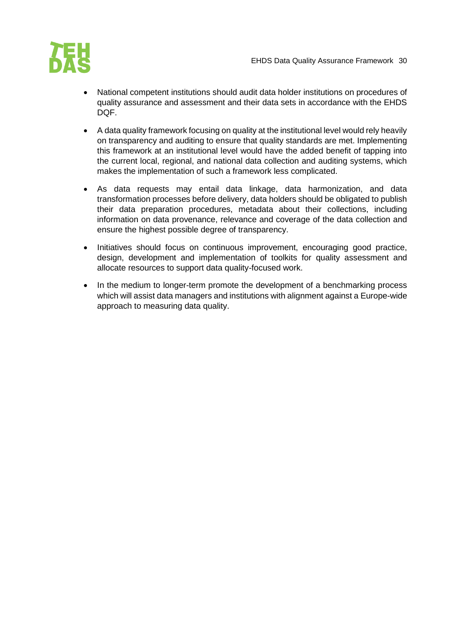

- National competent institutions should audit data holder institutions on procedures of quality assurance and assessment and their data sets in accordance with the EHDS DOF.
- A data quality framework focusing on quality at the institutional level would rely heavily on transparency and auditing to ensure that quality standards are met. Implementing this framework at an institutional level would have the added benefit of tapping into the current local, regional, and national data collection and auditing systems, which makes the implementation of such a framework less complicated.
- As data requests may entail data linkage, data harmonization, and data transformation processes before delivery, data holders should be obligated to publish their data preparation procedures, metadata about their collections, including information on data provenance, relevance and coverage of the data collection and ensure the highest possible degree of transparency.
- Initiatives should focus on continuous improvement, encouraging good practice, design, development and implementation of toolkits for quality assessment and allocate resources to support data quality-focused work.
- In the medium to longer-term promote the development of a benchmarking process which will assist data managers and institutions with alignment against a Europe-wide approach to measuring data quality.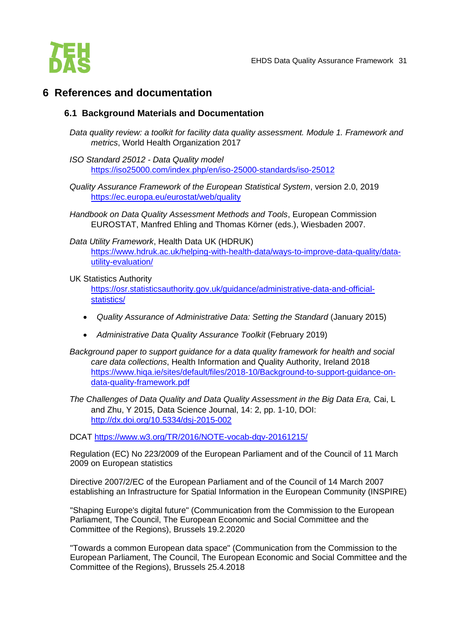

# <span id="page-31-1"></span><span id="page-31-0"></span>**6 References and documentation**

#### **6.1 Background Materials and Documentation**

- *Data quality review: a toolkit for facility data quality assessment. Module 1. Framework and metrics*, World Health Organization 2017
- *ISO Standard 25012 - Data Quality model* <https://iso25000.com/index.php/en/iso-25000-standards/iso-25012>
- *Quality Assurance Framework of the European Statistical System*, version 2.0, 2019 <https://ec.europa.eu/eurostat/web/quality>
- *Handbook on Data Quality Assessment Methods and Tools*, European Commission EUROSTAT, Manfred Ehling and Thomas Körner (eds.), Wiesbaden 2007.

#### *Data Utility Framework*, Health Data UK (HDRUK) [https://www.hdruk.ac.uk/helping-with-health-data/ways-to-improve-data-quality/data](https://www.hdruk.ac.uk/helping-with-health-data/ways-to-improve-data-quality/data-utility-evaluation/)[utility-evaluation/](https://www.hdruk.ac.uk/helping-with-health-data/ways-to-improve-data-quality/data-utility-evaluation/)

#### UK Statistics Authority

[https://osr.statisticsauthority.gov.uk/guidance/administrative-data-and-official](https://osr.statisticsauthority.gov.uk/guidance/administrative-data-and-official-statistics/)[statistics/](https://osr.statisticsauthority.gov.uk/guidance/administrative-data-and-official-statistics/) 

- *Quality Assurance of Administrative Data: Setting the Standard* (January 2015)
- *Administrative Data Quality Assurance Toolkit* (February 2019)
- *Background paper to support guidance for a data quality framework for health and social care data collections*, Health Information and Quality Authority, Ireland 2018 https://www.higa.je/sites/default/files/2018-10/Background-to-support-guidance-on[data-quality-framework.pdf](https://www.hiqa.ie/sites/default/files/2018-10/Background-to-support-guidance-on-data-quality-framework.pdf)
- *The Challenges of Data Quality and Data Quality Assessment in the Big Data Era,* Cai, L and Zhu, Y 2015, Data Science Journal, 14: 2, pp. 1-10, DOI: <http://dx.doi.org/10.5334/dsj-2015-002>

DCAT<https://www.w3.org/TR/2016/NOTE-vocab-dqv-20161215/>

Regulation (EC) No 223/2009 of the European Parliament and of the Council of 11 March 2009 on European statistics

Directive 2007/2/EC of the European Parliament and of the Council of 14 March 2007 establishing an Infrastructure for Spatial Information in the European Community (INSPIRE)

"Shaping Europe's digital future" (Communication from the Commission to the European Parliament, The Council, The European Economic and Social Committee and the Committee of the Regions), Brussels 19.2.2020

"Towards a common European data space" (Communication from the Commission to the European Parliament, The Council, The European Economic and Social Committee and the Committee of the Regions), Brussels 25.4.2018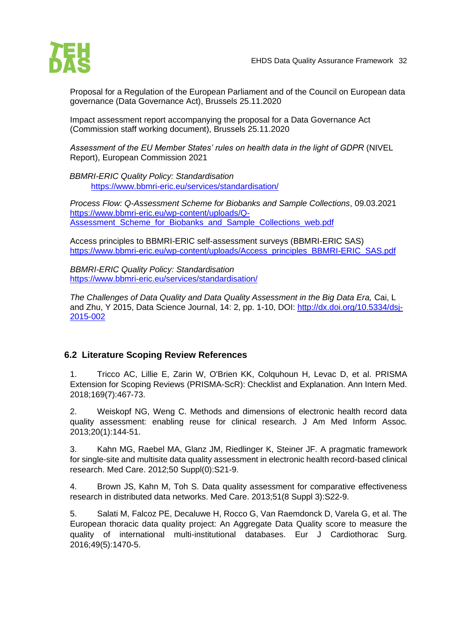

Proposal for a Regulation of the European Parliament and of the Council on European data governance (Data Governance Act), Brussels 25.11.2020

Impact assessment report accompanying the proposal for a Data Governance Act (Commission staff working document), Brussels 25.11.2020

*Assessment of the EU Member States' rules on health data in the light of GDPR* (NIVEL Report), European Commission 2021

*BBMRI-ERIC Quality Policy: Standardisation* <https://www.bbmri-eric.eu/services/standardisation/>

*Process Flow: Q-Assessment Scheme for Biobanks and Sample Collections*, 09.03.2021 [https://www.bbmri-eric.eu/wp-content/uploads/Q-](https://www.bbmri-eric.eu/wp-content/uploads/Q-Assessment_Scheme_for_Biobanks_and_Sample_Collections_web.pdf)Assessment Scheme for Biobanks and Sample Collections web.pdf

Access principles to BBMRI-ERIC self-assessment surveys (BBMRI-ERIC SAS) [https://www.bbmri-eric.eu/wp-content/uploads/Access\\_principles\\_BBMRI-ERIC\\_SAS.pdf](https://www.bbmri-eric.eu/wp-content/uploads/Access_principles_BBMRI-ERIC_SAS.pdf)

*BBMRI-ERIC Quality Policy: Standardisation* <https://www.bbmri-eric.eu/services/standardisation/>

*The Challenges of Data Quality and Data Quality Assessment in the Big Data Era,* Cai, L and Zhu, Y 2015, Data Science Journal, 14: 2, pp. 1-10, DOI: [http://dx.doi.org/10.5334/dsj-](http://dx.doi.org/10.5334/dsj-2015-002)[2015-002](http://dx.doi.org/10.5334/dsj-2015-002)

#### <span id="page-32-0"></span>**6.2 Literature Scoping Review References**

1. Tricco AC, Lillie E, Zarin W, O'Brien KK, Colquhoun H, Levac D, et al. PRISMA Extension for Scoping Reviews (PRISMA-ScR): Checklist and Explanation. Ann Intern Med. 2018;169(7):467-73.

2. Weiskopf NG, Weng C. Methods and dimensions of electronic health record data quality assessment: enabling reuse for clinical research. J Am Med Inform Assoc. 2013;20(1):144-51.

3. Kahn MG, Raebel MA, Glanz JM, Riedlinger K, Steiner JF. A pragmatic framework for single-site and multisite data quality assessment in electronic health record-based clinical research. Med Care. 2012;50 Suppl(0):S21-9.

4. Brown JS, Kahn M, Toh S. Data quality assessment for comparative effectiveness research in distributed data networks. Med Care. 2013;51(8 Suppl 3):S22-9.

5. Salati M, Falcoz PE, Decaluwe H, Rocco G, Van Raemdonck D, Varela G, et al. The European thoracic data quality project: An Aggregate Data Quality score to measure the quality of international multi-institutional databases. Eur J Cardiothorac Surg. 2016;49(5):1470-5.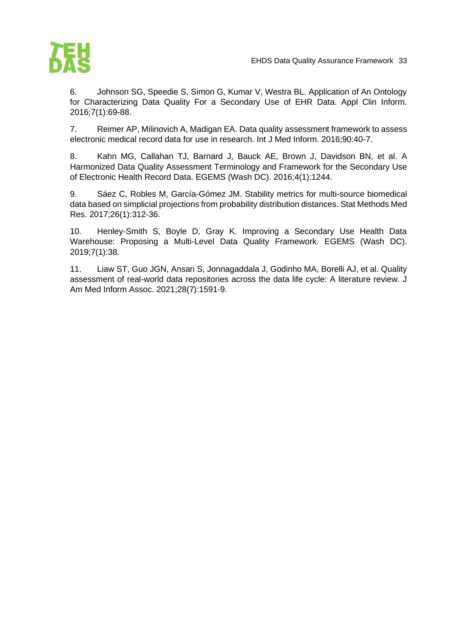

6. Johnson SG, Speedie S, Simon G, Kumar V, Westra BL. Application of An Ontology for Characterizing Data Quality For a Secondary Use of EHR Data. Appl Clin Inform. 2016;7(1):69-88.

7. Reimer AP, Milinovich A, Madigan EA. Data quality assessment framework to assess electronic medical record data for use in research. Int J Med Inform. 2016;90:40-7.

8. Kahn MG, Callahan TJ, Barnard J, Bauck AE, Brown J, Davidson BN, et al. A Harmonized Data Quality Assessment Terminology and Framework for the Secondary Use of Electronic Health Record Data. EGEMS (Wash DC). 2016;4(1):1244.

9. Sáez C, Robles M, García-Gómez JM. Stability metrics for multi-source biomedical data based on simplicial projections from probability distribution distances. Stat Methods Med Res. 2017;26(1):312-36.

10. Henley-Smith S, Boyle D, Gray K. Improving a Secondary Use Health Data Warehouse: Proposing a Multi-Level Data Quality Framework. EGEMS (Wash DC). 2019;7(1):38.

11. Liaw ST, Guo JGN, Ansari S, Jonnagaddala J, Godinho MA, Borelli AJ, et al. Quality assessment of real-world data repositories across the data life cycle: A literature review. J Am Med Inform Assoc. 2021;28(7):1591-9.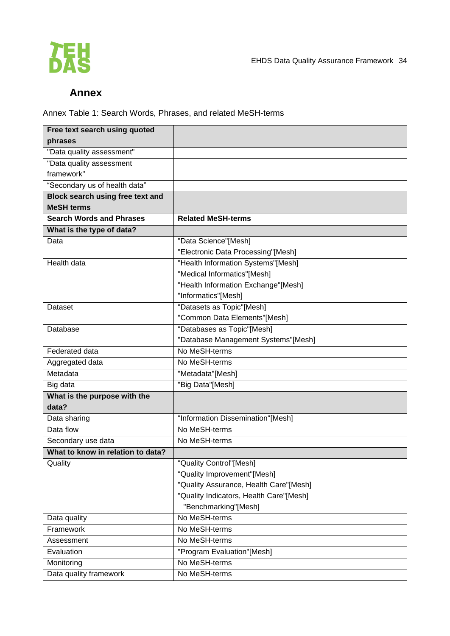

# **Annex**

<span id="page-34-0"></span>Annex Table 1: Search Words, Phrases, and related MeSH-terms

| Free text search using quoted           |                                         |
|-----------------------------------------|-----------------------------------------|
| phrases                                 |                                         |
| "Data quality assessment"               |                                         |
| "Data quality assessment                |                                         |
| framework"                              |                                         |
| "Secondary us of health data"           |                                         |
| <b>Block search using free text and</b> |                                         |
| <b>MeSH terms</b>                       |                                         |
| <b>Search Words and Phrases</b>         | <b>Related MeSH-terms</b>               |
| What is the type of data?               |                                         |
| Data                                    | "Data Science"[Mesh]                    |
|                                         | "Electronic Data Processing"[Mesh]      |
| Health data                             | "Health Information Systems"[Mesh]      |
|                                         | "Medical Informatics"[Mesh]             |
|                                         | "Health Information Exchange"[Mesh]     |
|                                         | "Informatics"[Mesh]                     |
| Dataset                                 | "Datasets as Topic"[Mesh]               |
|                                         | "Common Data Elements"[Mesh]            |
| Database                                | "Databases as Topic"[Mesh]              |
|                                         | "Database Management Systems"[Mesh]     |
| Federated data                          | No MeSH-terms                           |
| Aggregated data                         | No MeSH-terms                           |
| Metadata                                | "Metadata"[Mesh]                        |
| Big data                                | "Big Data"[Mesh]                        |
| What is the purpose with the            |                                         |
| data?                                   |                                         |
| Data sharing                            | "Information Dissemination"[Mesh]       |
| Data flow                               | No MeSH-terms                           |
| Secondary use data                      | No MeSH-terms                           |
| What to know in relation to data?       |                                         |
| Quality                                 | "Quality Control"[Mesh]                 |
|                                         | "Quality Improvement"[Mesh]             |
|                                         | "Quality Assurance, Health Care"[Mesh]  |
|                                         | "Quality Indicators, Health Care"[Mesh] |
|                                         | "Benchmarking"[Mesh]                    |
| Data quality                            | No MeSH-terms                           |
| Framework                               | No MeSH-terms                           |
| Assessment                              | No MeSH-terms                           |
| Evaluation                              | "Program Evaluation"[Mesh]              |
| Monitoring                              | No MeSH-terms                           |
| Data quality framework                  | No MeSH-terms                           |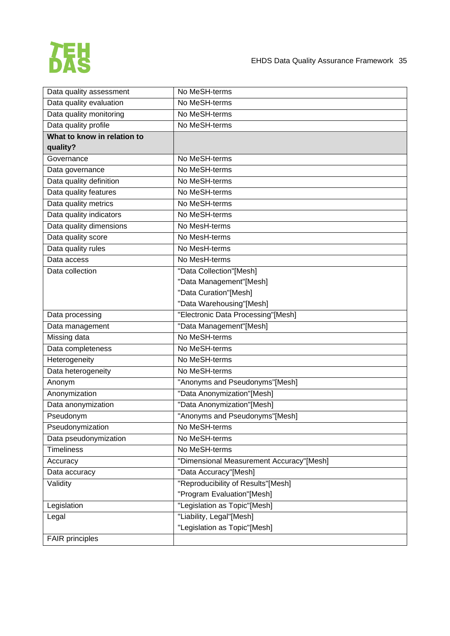

| Data quality assessment     | No MeSH-terms                            |  |
|-----------------------------|------------------------------------------|--|
| Data quality evaluation     | No MeSH-terms                            |  |
| Data quality monitoring     | No MeSH-terms                            |  |
| Data quality profile        | No MeSH-terms                            |  |
| What to know in relation to |                                          |  |
| quality?                    |                                          |  |
| Governance                  | No MeSH-terms                            |  |
| Data governance             | No MeSH-terms                            |  |
| Data quality definition     | No MeSH-terms                            |  |
| Data quality features       | No MeSH-terms                            |  |
| Data quality metrics        | No MeSH-terms                            |  |
| Data quality indicators     | No MeSH-terms                            |  |
| Data quality dimensions     | No MesH-terms                            |  |
| Data quality score          | No MesH-terms                            |  |
| Data quality rules          | No MesH-terms                            |  |
| Data access                 | No MesH-terms                            |  |
| Data collection             | "Data Collection"[Mesh]                  |  |
|                             | "Data Management"[Mesh]                  |  |
|                             | "Data Curation"[Mesh]                    |  |
|                             | "Data Warehousing"[Mesh]                 |  |
| Data processing             | "Electronic Data Processing"[Mesh]       |  |
| Data management             | "Data Management"[Mesh]                  |  |
| Missing data                | No MeSH-terms                            |  |
| Data completeness           | No MeSH-terms                            |  |
| Heterogeneity               | No MeSH-terms                            |  |
| Data heterogeneity          | No MeSH-terms                            |  |
| Anonym                      | "Anonyms and Pseudonyms"[Mesh]           |  |
| Anonymization               | "Data Anonymization"[Mesh]               |  |
| Data anonymization          | "Data Anonymization"[Mesh]               |  |
| Pseudonym                   | "Anonyms and Pseudonyms"[Mesh]           |  |
| Pseudonymization            | No MeSH-terms                            |  |
| Data pseudonymization       | No MeSH-terms                            |  |
| <b>Timeliness</b>           | No MeSH-terms                            |  |
| Accuracy                    | "Dimensional Measurement Accuracy"[Mesh] |  |
| Data accuracy               | "Data Accuracy"[Mesh]                    |  |
| Validity                    | "Reproducibility of Results"[Mesh]       |  |
|                             | "Program Evaluation"[Mesh]               |  |
| Legislation                 | "Legislation as Topic"[Mesh]             |  |
| Legal                       | "Liability, Legal"[Mesh]                 |  |
|                             | "Legislation as Topic"[Mesh]             |  |
| <b>FAIR</b> principles      |                                          |  |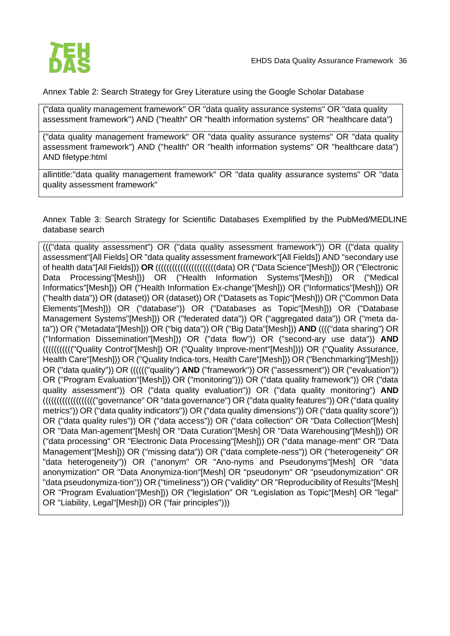

Annex Table 2: Search Strategy for Grey Literature using the Google Scholar Database

("data quality management framework" OR "data quality assurance systems" OR "data quality assessment framework") AND ("health" OR "health information systems" OR "healthcare data")

("data quality management framework" OR "data quality assurance systems" OR "data quality assessment framework") AND ("health" OR "health information systems" OR "healthcare data") AND filetype:html

allintitle:"data quality management framework" OR "data quality assurance systems" OR "data quality assessment framework"

Annex Table 3: Search Strategy for Scientific Databases Exemplified by the PubMed/MEDLINE database search

((("data quality assessment") OR ("data quality assessment framework")) OR (("data quality assessment"[All Fields] OR "data quality assessment framework"[All Fields]) AND "secondary use of health data"[All Fields])) **OR** ((((((((((((((((((((((data) OR ("Data Science"[Mesh])) OR ("Electronic Data Processing"[Mesh])) OR ("Health Information Systems"[Mesh])) OR ("Medical Informatics"[Mesh])) OR ("Health Information Ex-change"[Mesh])) OR ("Informatics"[Mesh])) OR ("health data")) OR (dataset)) OR (dataset)) OR ("Datasets as Topic"[Mesh])) OR ("Common Data Elements"[Mesh])) OR ("database")) OR ("Databases as Topic"[Mesh])) OR ("Database Management Systems"[Mesh])) OR ("federated data")) OR ("aggregated data")) OR ("meta data")) OR ("Metadata"[Mesh])) OR ("big data")) OR ("Big Data"[Mesh])) **AND** (((("data sharing") OR ("Information Dissemination"[Mesh])) OR ("data flow")) OR ("second-ary use data")) **AND** ((((((((((("Quality Control"[Mesh]) OR ("Quality Improve-ment"[Mesh]))) OR ("Quality Assurance, Health Care"[Mesh])) OR ("Quality Indica-tors, Health Care"[Mesh])) OR ("Benchmarking"[Mesh])) OR ("data quality")) OR (((((("quality") **AND** ("framework")) OR ("assessment")) OR ("evaluation")) OR ("Program Evaluation"[Mesh])) OR ("monitoring"))) OR ("data quality framework")) OR ("data quality assessment")) OR ("data quality evaluation")) OR ("data quality monitoring") **AND** ((((((((((((((((((("governance" OR "data governance") OR ("data quality features")) OR ("data quality metrics")) OR ("data quality indicators")) OR ("data quality dimensions")) OR ("data quality score")) OR ("data quality rules")) OR ("data access")) OR ("data collection" OR "Data Collection"[Mesh] OR "Data Man-agement"[Mesh] OR "Data Curation"[Mesh] OR "Data Warehousing"[Mesh])) OR ("data processing" OR "Electronic Data Processing"[Mesh])) OR ("data manage-ment" OR "Data Management"[Mesh])) OR ("missing data")) OR ("data complete-ness")) OR ("heterogeneity" OR "data heterogeneity")) OR ("anonym" OR "Ano-nyms and Pseudonyms"[Mesh] OR "data anonymization" OR "Data Anonymiza-tion"[Mesh] OR "pseudonym" OR "pseudonymization" OR "data pseudonymiza-tion")) OR ("timeliness")) OR ("validity" OR "Reproducibility of Results"[Mesh] OR "Program Evaluation"[Mesh])) OR ("legislation" OR "Legislation as Topic"[Mesh] OR "legal" OR "Liability, Legal"[Mesh])) OR ("fair principles")))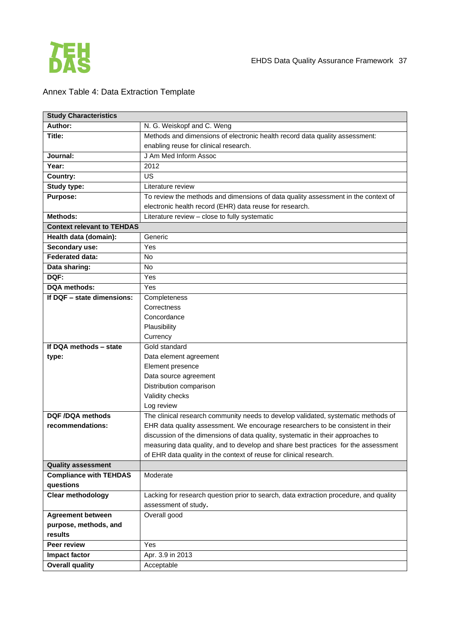

# Annex Table 4: Data Extraction Template

| <b>Study Characteristics</b>                      |                                                                                       |
|---------------------------------------------------|---------------------------------------------------------------------------------------|
| <b>Author:</b>                                    | N. G. Weiskopf and C. Weng                                                            |
| Title:                                            | Methods and dimensions of electronic health record data quality assessment:           |
|                                                   | enabling reuse for clinical research.                                                 |
| Journal:                                          | J Am Med Inform Assoc                                                                 |
| Year:                                             | 2012                                                                                  |
| Country:                                          | US                                                                                    |
| Study type:                                       | Literature review                                                                     |
| Purpose:                                          | To review the methods and dimensions of data quality assessment in the context of     |
|                                                   | electronic health record (EHR) data reuse for research.                               |
| Methods:                                          | Literature review - close to fully systematic                                         |
| <b>Context relevant to TEHDAS</b>                 |                                                                                       |
| Health data (domain):                             | Generic                                                                               |
| Secondary use:                                    | Yes                                                                                   |
| <b>Federated data:</b>                            | <b>No</b>                                                                             |
| Data sharing:                                     | <b>No</b>                                                                             |
| DQF:                                              | Yes                                                                                   |
| <b>DQA</b> methods:                               | Yes                                                                                   |
| If DQF - state dimensions:                        | Completeness                                                                          |
|                                                   | Correctness                                                                           |
|                                                   | Concordance                                                                           |
|                                                   | Plausibility                                                                          |
|                                                   | Currency                                                                              |
| If DQA methods - state                            | Gold standard                                                                         |
| type:                                             | Data element agreement                                                                |
|                                                   | Element presence                                                                      |
|                                                   | Data source agreement                                                                 |
|                                                   | Distribution comparison                                                               |
|                                                   | Validity checks                                                                       |
|                                                   | Log review                                                                            |
| DQF /DQA methods                                  | The clinical research community needs to develop validated, systematic methods of     |
| recommendations:                                  | EHR data quality assessment. We encourage researchers to be consistent in their       |
|                                                   | discussion of the dimensions of data quality, systematic in their approaches to       |
|                                                   | measuring data quality, and to develop and share best practices for the assessment    |
|                                                   | of EHR data quality in the context of reuse for clinical research.                    |
| <b>Quality assessment</b>                         |                                                                                       |
| <b>Compliance with TEHDAS</b>                     | Moderate                                                                              |
| questions                                         |                                                                                       |
| <b>Clear methodology</b>                          | Lacking for research question prior to search, data extraction procedure, and quality |
|                                                   | assessment of study.                                                                  |
| <b>Agreement between</b><br>purpose, methods, and | Overall good                                                                          |
| results                                           |                                                                                       |
| Peer review                                       | Yes                                                                                   |
|                                                   |                                                                                       |
| Impact factor                                     | Apr. 3.9 in 2013                                                                      |
| <b>Overall quality</b>                            | Acceptable                                                                            |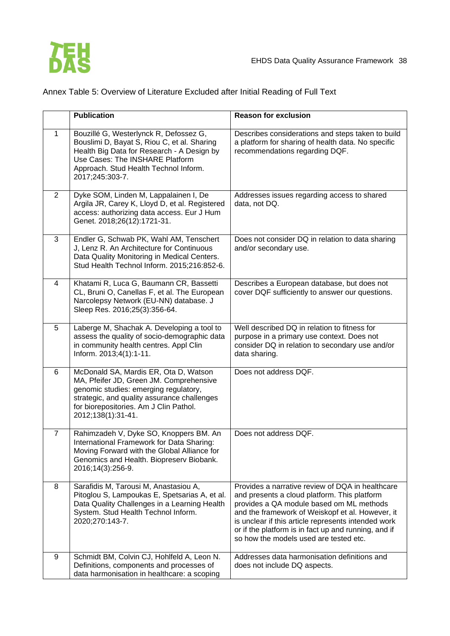

|                | <b>Publication</b>                                                                                                                                                                                                                       | <b>Reason for exclusion</b>                                                                                                                                                                                                                                                                                                                               |
|----------------|------------------------------------------------------------------------------------------------------------------------------------------------------------------------------------------------------------------------------------------|-----------------------------------------------------------------------------------------------------------------------------------------------------------------------------------------------------------------------------------------------------------------------------------------------------------------------------------------------------------|
| $\mathbf{1}$   | Bouzillé G, Westerlynck R, Defossez G,<br>Bouslimi D, Bayat S, Riou C, et al. Sharing<br>Health Big Data for Research - A Design by<br>Use Cases: The INSHARE Platform<br>Approach. Stud Health Technol Inform.<br>2017;245:303-7.       | Describes considerations and steps taken to build<br>a platform for sharing of health data. No specific<br>recommendations regarding DQF.                                                                                                                                                                                                                 |
| $\overline{2}$ | Dyke SOM, Linden M, Lappalainen I, De<br>Argila JR, Carey K, Lloyd D, et al. Registered<br>access: authorizing data access. Eur J Hum<br>Genet. 2018;26(12):1721-31.                                                                     | Addresses issues regarding access to shared<br>data, not DQ.                                                                                                                                                                                                                                                                                              |
| 3              | Endler G, Schwab PK, Wahl AM, Tenschert<br>J, Lenz R. An Architecture for Continuous<br>Data Quality Monitoring in Medical Centers.<br>Stud Health Technol Inform. 2015;216:852-6.                                                       | Does not consider DQ in relation to data sharing<br>and/or secondary use.                                                                                                                                                                                                                                                                                 |
| 4              | Khatami R, Luca G, Baumann CR, Bassetti<br>CL, Bruni O, Canellas F, et al. The European<br>Narcolepsy Network (EU-NN) database. J<br>Sleep Res. 2016;25(3):356-64.                                                                       | Describes a European database, but does not<br>cover DQF sufficiently to answer our questions.                                                                                                                                                                                                                                                            |
| 5              | Laberge M, Shachak A. Developing a tool to<br>assess the quality of socio-demographic data<br>in community health centres. Appl Clin<br>Inform. 2013;4(1):1-11.                                                                          | Well described DQ in relation to fitness for<br>purpose in a primary use context. Does not<br>consider DQ in relation to secondary use and/or<br>data sharing.                                                                                                                                                                                            |
| 6              | McDonald SA, Mardis ER, Ota D, Watson<br>MA, Pfeifer JD, Green JM. Comprehensive<br>genomic studies: emerging regulatory,<br>strategic, and quality assurance challenges<br>for biorepositories. Am J Clin Pathol.<br>2012;138(1):31-41. | Does not address DQF.                                                                                                                                                                                                                                                                                                                                     |
| $\overline{7}$ | Rahimzadeh V, Dyke SO, Knoppers BM. An<br>International Framework for Data Sharing:<br>Moving Forward with the Global Alliance for<br>Genomics and Health. Biopreserv Biobank.<br>2016;14(3):256-9.                                      | Does not address DQF.                                                                                                                                                                                                                                                                                                                                     |
| 8              | Sarafidis M, Tarousi M, Anastasiou A,<br>Pitoglou S, Lampoukas E, Spetsarias A, et al.<br>Data Quality Challenges in a Learning Health<br>System. Stud Health Technol Inform.<br>2020;270:143-7.                                         | Provides a narrative review of DQA in healthcare<br>and presents a cloud platform. This platform<br>provides a QA module based om ML methods<br>and the framework of Weiskopf et al. However, it<br>is unclear if this article represents intended work<br>or if the platform is in fact up and running, and if<br>so how the models used are tested etc. |
| 9              | Schmidt BM, Colvin CJ, Hohlfeld A, Leon N.<br>Definitions, components and processes of<br>data harmonisation in healthcare: a scoping                                                                                                    | Addresses data harmonisation definitions and<br>does not include DQ aspects.                                                                                                                                                                                                                                                                              |

# Annex Table 5: Overview of Literature Excluded after Initial Reading of Full Text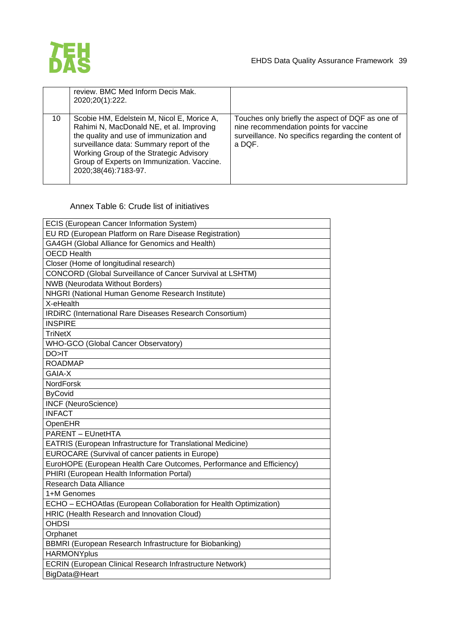

| review. BMC Med Inform Decis Mak.<br>2020;20(1):222.                                                                                                                                                                                                                                                 |                                                                                                                                                             |
|------------------------------------------------------------------------------------------------------------------------------------------------------------------------------------------------------------------------------------------------------------------------------------------------------|-------------------------------------------------------------------------------------------------------------------------------------------------------------|
| 10<br>Scobie HM, Edelstein M, Nicol E, Morice A,<br>Rahimi N, MacDonald NE, et al. Improving<br>the quality and use of immunization and<br>surveillance data: Summary report of the<br>Working Group of the Strategic Advisory<br>Group of Experts on Immunization. Vaccine.<br>2020;38(46):7183-97. | Touches only briefly the aspect of DQF as one of<br>nine recommendation points for vaccine<br>surveillance. No specifics regarding the content of<br>a DOF. |

### Annex Table 6: Crude list of initiatives

| ECIS (European Cancer Information System)                            |
|----------------------------------------------------------------------|
| EU RD (European Platform on Rare Disease Registration)               |
| GA4GH (Global Alliance for Genomics and Health)                      |
| <b>OECD Health</b>                                                   |
| Closer (Home of longitudinal research)                               |
| <b>CONCORD (Global Surveillance of Cancer Survival at LSHTM)</b>     |
| <b>NWB</b> (Neurodata Without Borders)                               |
| NHGRI (National Human Genome Research Institute)                     |
| X-eHealth                                                            |
| IRDIRC (International Rare Diseases Research Consortium)             |
| <b>INSPIRE</b>                                                       |
| <b>TriNetX</b>                                                       |
| WHO-GCO (Global Cancer Observatory)                                  |
| DO > IT                                                              |
| <b>ROADMAP</b>                                                       |
| GAIA-X                                                               |
| <b>NordForsk</b>                                                     |
| <b>ByCovid</b>                                                       |
| <b>INCF (NeuroScience)</b>                                           |
| <b>INFACT</b>                                                        |
| OpenEHR                                                              |
| <b>PARENT - EUnetHTA</b>                                             |
| EATRIS (European Infrastructure for Translational Medicine)          |
| EUROCARE (Survival of cancer patients in Europe)                     |
| EuroHOPE (European Health Care Outcomes, Performance and Efficiency) |
| PHIRI (European Health Information Portal)                           |
| Research Data Alliance                                               |
| 1+M Genomes                                                          |
| ECHO - ECHOAtlas (European Collaboration for Health Optimization)    |
| HRIC (Health Research and Innovation Cloud)                          |
| <b>OHDSI</b>                                                         |
| Orphanet                                                             |
| BBMRI (European Research Infrastructure for Biobanking)              |
| <b>HARMONYplus</b>                                                   |
| <b>ECRIN (European Clinical Research Infrastructure Network)</b>     |
| BigData@Heart                                                        |